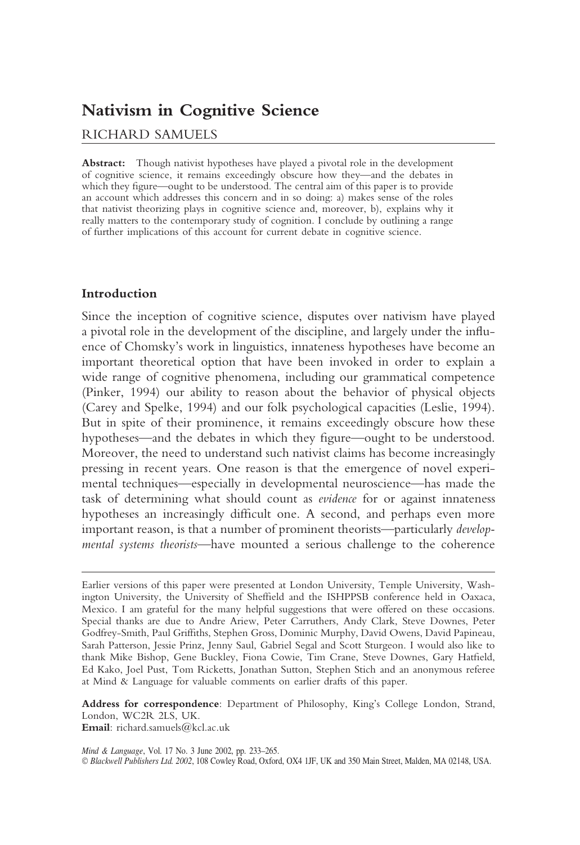# **Nativism in Cognitive Science**

#### RICHARD SAMUELS

**Abstract:** Though nativist hypotheses have played a pivotal role in the development of cognitive science, it remains exceedingly obscure how they—and the debates in which they figure—ought to be understood. The central aim of this paper is to provide an account which addresses this concern and in so doing: a) makes sense of the roles that nativist theorizing plays in cognitive science and, moreover, b), explains why it really matters to the contemporary study of cognition. I conclude by outlining a range of further implications of this account for current debate in cognitive science.

#### **Introduction**

Since the inception of cognitive science, disputes over nativism have played a pivotal role in the development of the discipline, and largely under the influence of Chomsky's work in linguistics, innateness hypotheses have become an important theoretical option that have been invoked in order to explain a wide range of cognitive phenomena, including our grammatical competence (Pinker, 1994) our ability to reason about the behavior of physical objects (Carey and Spelke, 1994) and our folk psychological capacities (Leslie, 1994). But in spite of their prominence, it remains exceedingly obscure how these hypotheses—and the debates in which they figure—ought to be understood. Moreover, the need to understand such nativist claims has become increasingly pressing in recent years. One reason is that the emergence of novel experimental techniques—especially in developmental neuroscience—has made the task of determining what should count as *evidence* for or against innateness hypotheses an increasingly difficult one. A second, and perhaps even more important reason, is that a number of prominent theorists—particularly *developmental systems theorists*—have mounted a serious challenge to the coherence

**Address for correspondence**: Department of Philosophy, King's College London, Strand, London, WC2R 2LS, UK.

Email: richard.samuels@kcl.ac.uk

*Mind & Language*, Vol. 17 No. 3 June 2002, pp. 233–265. *Blackwell Publishers Ltd. 2002*, 108 Cowley Road, Oxford, OX4 1JF, UK and 350 Main Street, Malden, MA 02148, USA.

Earlier versions of this paper were presented at London University, Temple University, Washington University, the University of Sheffield and the ISHPPSB conference held in Oaxaca, Mexico. I am grateful for the many helpful suggestions that were offered on these occasions. Special thanks are due to Andre Ariew, Peter Carruthers, Andy Clark, Steve Downes, Peter Godfrey-Smith, Paul Griffiths, Stephen Gross, Dominic Murphy, David Owens, David Papineau, Sarah Patterson, Jessie Prinz, Jenny Saul, Gabriel Segal and Scott Sturgeon. I would also like to thank Mike Bishop, Gene Buckley, Fiona Cowie, Tim Crane, Steve Downes, Gary Hatfield, Ed Kako, Joel Pust, Tom Ricketts, Jonathan Sutton, Stephen Stich and an anonymous referee at Mind & Language for valuable comments on earlier drafts of this paper.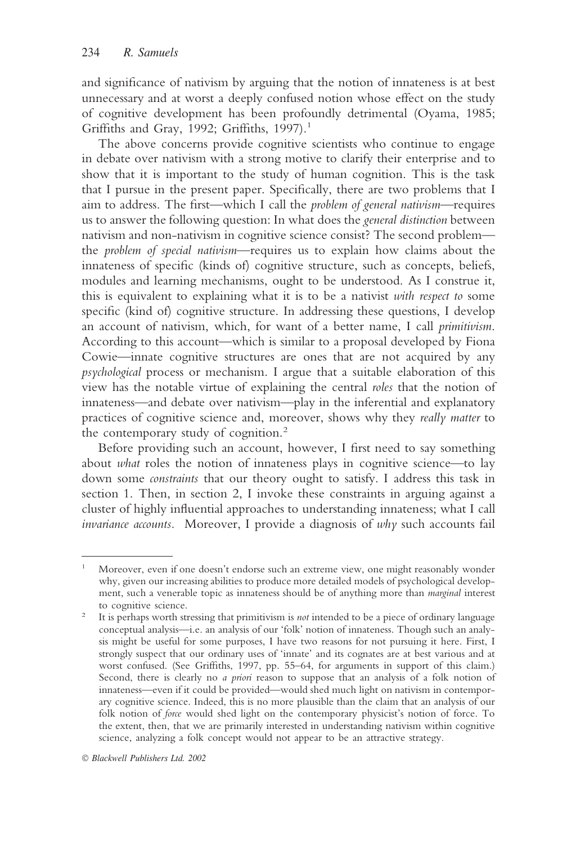and significance of nativism by arguing that the notion of innateness is at best unnecessary and at worst a deeply confused notion whose effect on the study of cognitive development has been profoundly detrimental (Oyama, 1985; Griffiths and Gray, 1992; Griffiths, 1997).<sup>1</sup>

The above concerns provide cognitive scientists who continue to engage in debate over nativism with a strong motive to clarify their enterprise and to show that it is important to the study of human cognition. This is the task that I pursue in the present paper. Specifically, there are two problems that I aim to address. The first—which I call the *problem of general nativism*—requires us to answer the following question: In what does the *general distinction* between nativism and non-nativism in cognitive science consist? The second problem the *problem of special nativism*—requires us to explain how claims about the innateness of specific (kinds of) cognitive structure, such as concepts, beliefs, modules and learning mechanisms, ought to be understood. As I construe it, this is equivalent to explaining what it is to be a nativist *with respect to* some specific (kind of) cognitive structure. In addressing these questions, I develop an account of nativism, which, for want of a better name, I call *primitivism*. According to this account—which is similar to a proposal developed by Fiona Cowie—innate cognitive structures are ones that are not acquired by any *psychological* process or mechanism. I argue that a suitable elaboration of this view has the notable virtue of explaining the central *roles* that the notion of innateness—and debate over nativism—play in the inferential and explanatory practices of cognitive science and, moreover, shows why they *really matter* to the contemporary study of cognition.<sup>2</sup>

Before providing such an account, however, I first need to say something about *what* roles the notion of innateness plays in cognitive science—to lay down some *constraints* that our theory ought to satisfy. I address this task in section 1. Then, in section 2, I invoke these constraints in arguing against a cluster of highly influential approaches to understanding innateness; what I call *invariance accounts.* Moreover, I provide a diagnosis of *why* such accounts fail

<sup>1</sup> Moreover, even if one doesn't endorse such an extreme view, one might reasonably wonder why, given our increasing abilities to produce more detailed models of psychological development, such a venerable topic as innateness should be of anything more than *marginal* interest to cognitive science.

<sup>2</sup> It is perhaps worth stressing that primitivism is *not* intended to be a piece of ordinary language conceptual analysis—i.e. an analysis of our 'folk' notion of innateness. Though such an analysis might be useful for some purposes, I have two reasons for not pursuing it here. First, I strongly suspect that our ordinary uses of 'innate' and its cognates are at best various and at worst confused. (See Griffiths, 1997, pp. 55–64, for arguments in support of this claim.) Second, there is clearly no *a priori* reason to suppose that an analysis of a folk notion of innateness—even if it could be provided—would shed much light on nativism in contemporary cognitive science. Indeed, this is no more plausible than the claim that an analysis of our folk notion of *force* would shed light on the contemporary physicist's notion of force. To the extent, then, that we are primarily interested in understanding nativism within cognitive science, analyzing a folk concept would not appear to be an attractive strategy.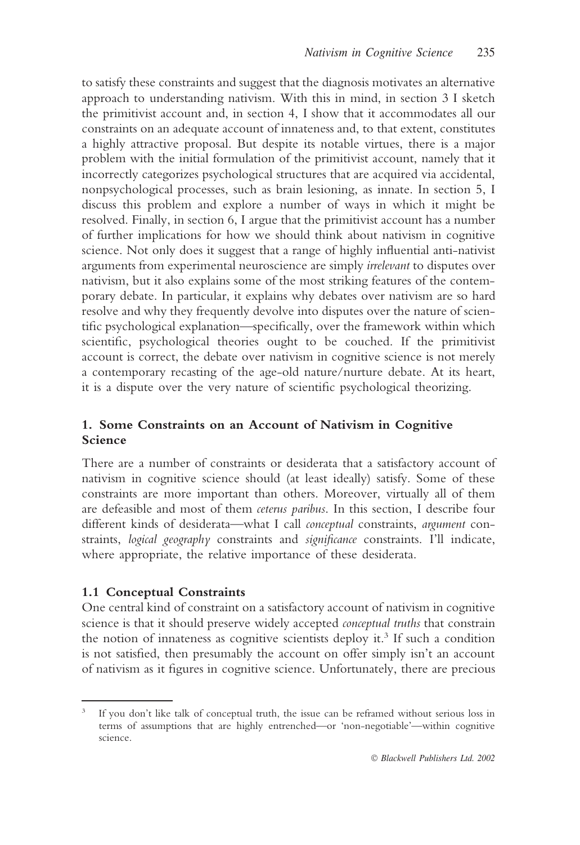to satisfy these constraints and suggest that the diagnosis motivates an alternative approach to understanding nativism. With this in mind, in section 3 I sketch the primitivist account and, in section 4, I show that it accommodates all our constraints on an adequate account of innateness and, to that extent, constitutes a highly attractive proposal. But despite its notable virtues, there is a major problem with the initial formulation of the primitivist account, namely that it incorrectly categorizes psychological structures that are acquired via accidental, nonpsychological processes, such as brain lesioning, as innate. In section 5, I discuss this problem and explore a number of ways in which it might be resolved. Finally, in section 6, I argue that the primitivist account has a number of further implications for how we should think about nativism in cognitive science. Not only does it suggest that a range of highly influential anti-nativist arguments from experimental neuroscience are simply *irrelevant* to disputes over nativism, but it also explains some of the most striking features of the contemporary debate. In particular, it explains why debates over nativism are so hard resolve and why they frequently devolve into disputes over the nature of scientific psychological explanation—specifically, over the framework within which scientific, psychological theories ought to be couched. If the primitivist account is correct, the debate over nativism in cognitive science is not merely a contemporary recasting of the age-old nature/nurture debate. At its heart, it is a dispute over the very nature of scientific psychological theorizing.

## **1. Some Constraints on an Account of Nativism in Cognitive Science**

There are a number of constraints or desiderata that a satisfactory account of nativism in cognitive science should (at least ideally) satisfy. Some of these constraints are more important than others. Moreover, virtually all of them are defeasible and most of them *ceterus paribus*. In this section, I describe four different kinds of desiderata—what I call *conceptual* constraints, *argument* constraints, *logical geography* constraints and *significance* constraints. I'll indicate, where appropriate, the relative importance of these desiderata.

### **1.1 Conceptual Constraints**

One central kind of constraint on a satisfactory account of nativism in cognitive science is that it should preserve widely accepted *conceptual truths* that constrain the notion of innateness as cognitive scientists deploy it.<sup>3</sup> If such a condition is not satisfied, then presumably the account on offer simply isn't an account of nativism as it figures in cognitive science. Unfortunately, there are precious

If you don't like talk of conceptual truth, the issue can be reframed without serious loss in terms of assumptions that are highly entrenched—or 'non-negotiable'—within cognitive science.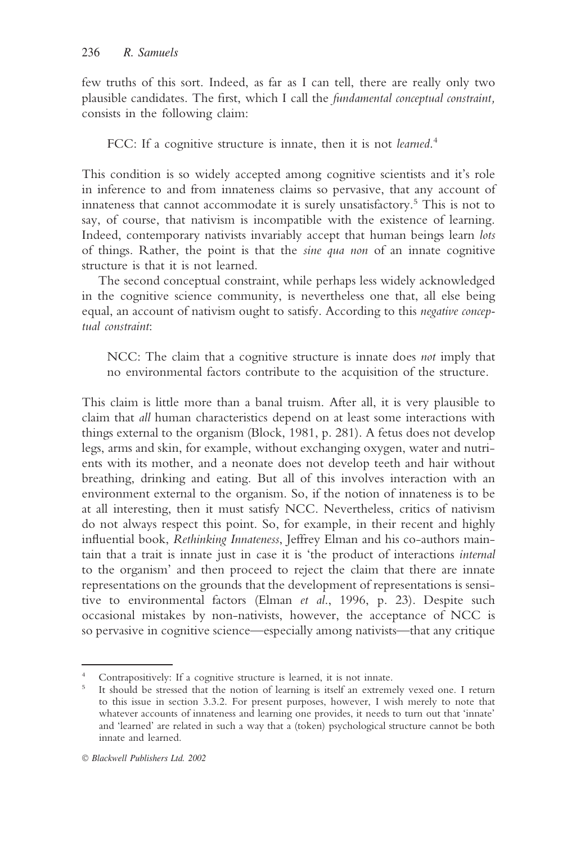few truths of this sort. Indeed, as far as I can tell, there are really only two plausible candidates. The first, which I call the *fundamental conceptual constraint,* consists in the following claim:

FCC: If a cognitive structure is innate, then it is not *learned*.<sup>4</sup>

This condition is so widely accepted among cognitive scientists and it's role in inference to and from innateness claims so pervasive, that any account of innateness that cannot accommodate it is surely unsatisfactory.5 This is not to say, of course, that nativism is incompatible with the existence of learning. Indeed, contemporary nativists invariably accept that human beings learn *lots* of things. Rather, the point is that the *sine qua non* of an innate cognitive structure is that it is not learned.

The second conceptual constraint, while perhaps less widely acknowledged in the cognitive science community, is nevertheless one that, all else being equal, an account of nativism ought to satisfy. According to this *negative conceptual constraint*:

NCC: The claim that a cognitive structure is innate does *not* imply that no environmental factors contribute to the acquisition of the structure.

This claim is little more than a banal truism. After all, it is very plausible to claim that *all* human characteristics depend on at least some interactions with things external to the organism (Block, 1981, p. 281). A fetus does not develop legs, arms and skin, for example, without exchanging oxygen, water and nutrients with its mother, and a neonate does not develop teeth and hair without breathing, drinking and eating. But all of this involves interaction with an environment external to the organism. So, if the notion of innateness is to be at all interesting, then it must satisfy NCC. Nevertheless, critics of nativism do not always respect this point. So, for example, in their recent and highly influential book, *Rethinking Innateness*, Jeffrey Elman and his co-authors maintain that a trait is innate just in case it is 'the product of interactions *internal* to the organism' and then proceed to reject the claim that there are innate representations on the grounds that the development of representations is sensitive to environmental factors (Elman *et al*., 1996, p. 23). Despite such occasional mistakes by non-nativists, however, the acceptance of NCC is so pervasive in cognitive science—especially among nativists—that any critique

<sup>&</sup>lt;sup>4</sup> Contrapositively: If a cognitive structure is learned, it is not innate.<br><sup>5</sup> It should be stressed that the notion of learning is itself an extreme

It should be stressed that the notion of learning is itself an extremely vexed one. I return to this issue in section 3.3.2. For present purposes, however, I wish merely to note that whatever accounts of innateness and learning one provides, it needs to turn out that 'innate' and 'learned' are related in such a way that a (token) psychological structure cannot be both innate and learned.

*Blackwell Publishers Ltd. 2002*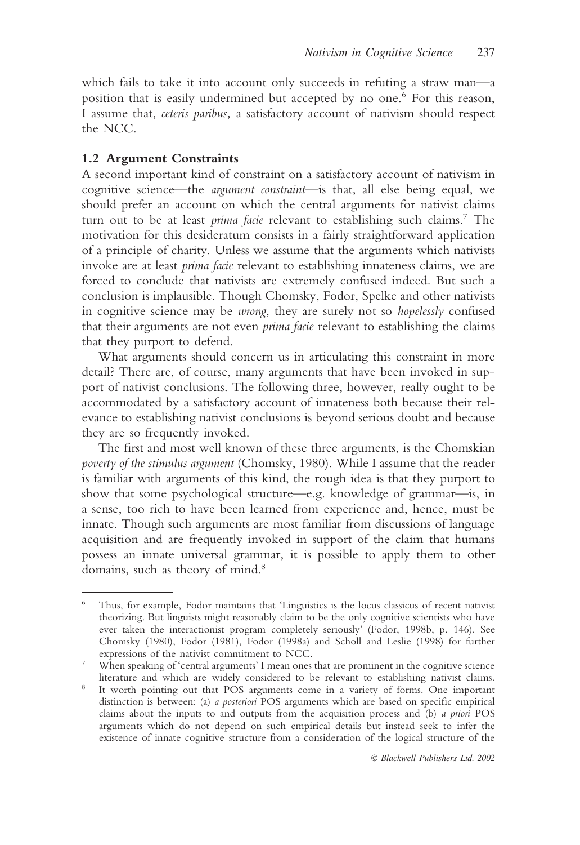which fails to take it into account only succeeds in refuting a straw man—a position that is easily undermined but accepted by no one.<sup>6</sup> For this reason, I assume that, *ceteris paribus,* a satisfactory account of nativism should respect the NCC.

### **1.2 Argument Constraints**

A second important kind of constraint on a satisfactory account of nativism in cognitive science—the *argument constraint*—is that, all else being equal, we should prefer an account on which the central arguments for nativist claims turn out to be at least *prima facie* relevant to establishing such claims.7 The motivation for this desideratum consists in a fairly straightforward application of a principle of charity. Unless we assume that the arguments which nativists invoke are at least *prima facie* relevant to establishing innateness claims, we are forced to conclude that nativists are extremely confused indeed. But such a conclusion is implausible. Though Chomsky, Fodor, Spelke and other nativists in cognitive science may be *wrong*, they are surely not so *hopelessly* confused that their arguments are not even *prima facie* relevant to establishing the claims that they purport to defend.

What arguments should concern us in articulating this constraint in more detail? There are, of course, many arguments that have been invoked in support of nativist conclusions. The following three, however, really ought to be accommodated by a satisfactory account of innateness both because their relevance to establishing nativist conclusions is beyond serious doubt and because they are so frequently invoked.

The first and most well known of these three arguments, is the Chomskian *poverty of the stimulus argument* (Chomsky, 1980). While I assume that the reader is familiar with arguments of this kind, the rough idea is that they purport to show that some psychological structure—e.g. knowledge of grammar—is, in a sense, too rich to have been learned from experience and, hence, must be innate. Though such arguments are most familiar from discussions of language acquisition and are frequently invoked in support of the claim that humans possess an innate universal grammar, it is possible to apply them to other domains, such as theory of mind.<sup>8</sup>

<sup>6</sup> Thus, for example, Fodor maintains that 'Linguistics is the locus classicus of recent nativist theorizing. But linguists might reasonably claim to be the only cognitive scientists who have ever taken the interactionist program completely seriously' (Fodor, 1998b, p. 146). See Chomsky (1980), Fodor (1981), Fodor (1998a) and Scholl and Leslie (1998) for further expressions of the nativist commitment to NCC.

When speaking of 'central arguments' I mean ones that are prominent in the cognitive science literature and which are widely considered to be relevant to establishing nativist claims.

<sup>8</sup> It worth pointing out that POS arguments come in a variety of forms. One important distinction is between: (a) *a posteriori* POS arguments which are based on specific empirical claims about the inputs to and outputs from the acquisition process and (b) *a priori* POS arguments which do not depend on such empirical details but instead seek to infer the existence of innate cognitive structure from a consideration of the logical structure of the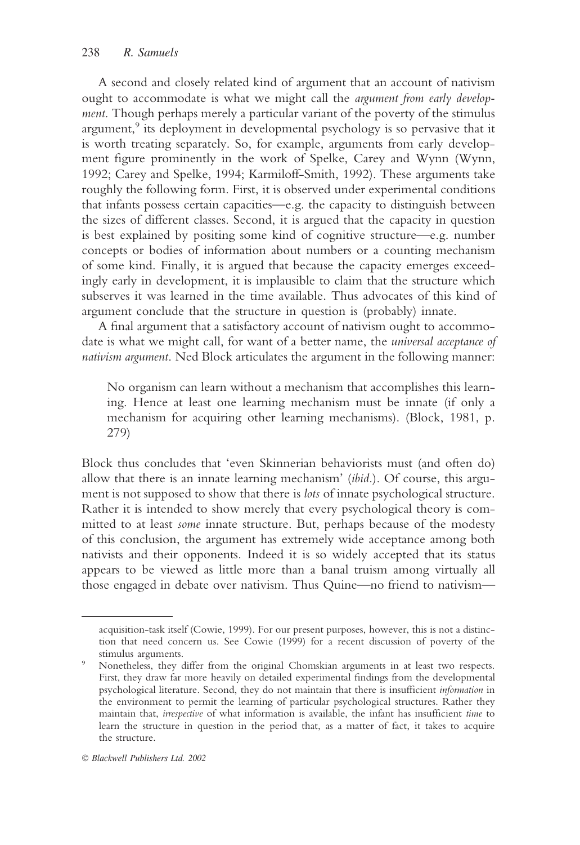A second and closely related kind of argument that an account of nativism ought to accommodate is what we might call the *argument from early development*. Though perhaps merely a particular variant of the poverty of the stimulus argument,<sup>9</sup> its deployment in developmental psychology is so pervasive that it is worth treating separately. So, for example, arguments from early development figure prominently in the work of Spelke, Carey and Wynn (Wynn, 1992; Carey and Spelke, 1994; Karmiloff-Smith, 1992). These arguments take roughly the following form. First, it is observed under experimental conditions that infants possess certain capacities—e.g. the capacity to distinguish between the sizes of different classes. Second, it is argued that the capacity in question is best explained by positing some kind of cognitive structure—e.g. number concepts or bodies of information about numbers or a counting mechanism of some kind. Finally, it is argued that because the capacity emerges exceedingly early in development, it is implausible to claim that the structure which subserves it was learned in the time available. Thus advocates of this kind of argument conclude that the structure in question is (probably) innate.

A final argument that a satisfactory account of nativism ought to accommodate is what we might call, for want of a better name, the *universal acceptance of nativism argument*. Ned Block articulates the argument in the following manner:

No organism can learn without a mechanism that accomplishes this learning. Hence at least one learning mechanism must be innate (if only a mechanism for acquiring other learning mechanisms). (Block, 1981, p. 279)

Block thus concludes that 'even Skinnerian behaviorists must (and often do) allow that there is an innate learning mechanism' (*ibid*.). Of course, this argument is not supposed to show that there is *lots* of innate psychological structure. Rather it is intended to show merely that every psychological theory is committed to at least *some* innate structure. But, perhaps because of the modesty of this conclusion, the argument has extremely wide acceptance among both nativists and their opponents. Indeed it is so widely accepted that its status appears to be viewed as little more than a banal truism among virtually all those engaged in debate over nativism. Thus Quine—no friend to nativism—

acquisition-task itself (Cowie, 1999). For our present purposes, however, this is not a distinction that need concern us. See Cowie (1999) for a recent discussion of poverty of the stimulus arguments.

Nonetheless, they differ from the original Chomskian arguments in at least two respects. First, they draw far more heavily on detailed experimental findings from the developmental psychological literature. Second, they do not maintain that there is insufficient *information* in the environment to permit the learning of particular psychological structures. Rather they maintain that, *irrespective* of what information is available, the infant has insufficient *time* to learn the structure in question in the period that, as a matter of fact, it takes to acquire the structure.

*Blackwell Publishers Ltd. 2002*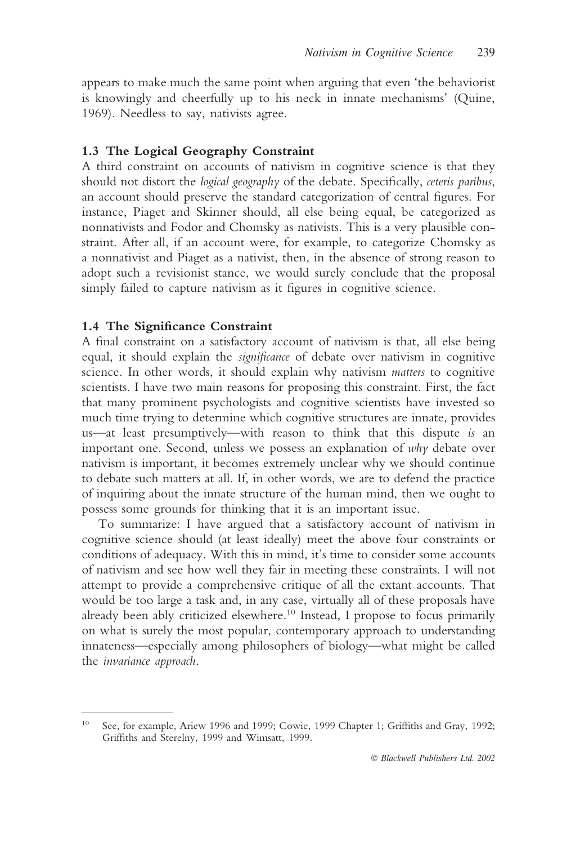appears to make much the same point when arguing that even 'the behaviorist is knowingly and cheerfully up to his neck in innate mechanisms' (Quine, 1969). Needless to say, nativists agree.

### **1.3 The Logical Geography Constraint**

A third constraint on accounts of nativism in cognitive science is that they should not distort the *logical geography* of the debate. Specifically, *ceteris paribus*, an account should preserve the standard categorization of central figures. For instance, Piaget and Skinner should, all else being equal, be categorized as nonnativists and Fodor and Chomsky as nativists. This is a very plausible constraint. After all, if an account were, for example, to categorize Chomsky as a nonnativist and Piaget as a nativist, then, in the absence of strong reason to adopt such a revisionist stance, we would surely conclude that the proposal simply failed to capture nativism as it figures in cognitive science.

#### **1.4 The Significance Constraint**

A final constraint on a satisfactory account of nativism is that, all else being equal, it should explain the *significance* of debate over nativism in cognitive science. In other words, it should explain why nativism *matters* to cognitive scientists. I have two main reasons for proposing this constraint. First, the fact that many prominent psychologists and cognitive scientists have invested so much time trying to determine which cognitive structures are innate, provides us—at least presumptively—with reason to think that this dispute *is* an important one. Second, unless we possess an explanation of *why* debate over nativism is important, it becomes extremely unclear why we should continue to debate such matters at all. If, in other words, we are to defend the practice of inquiring about the innate structure of the human mind, then we ought to possess some grounds for thinking that it is an important issue.

To summarize: I have argued that a satisfactory account of nativism in cognitive science should (at least ideally) meet the above four constraints or conditions of adequacy. With this in mind, it's time to consider some accounts of nativism and see how well they fair in meeting these constraints. I will not attempt to provide a comprehensive critique of all the extant accounts. That would be too large a task and, in any case, virtually all of these proposals have already been ably criticized elsewhere.<sup>10</sup> Instead, I propose to focus primarily on what is surely the most popular, contemporary approach to understanding innateness—especially among philosophers of biology—what might be called the *invariance approach*.

<sup>10</sup> See, for example, Ariew 1996 and 1999; Cowie, 1999 Chapter 1; Griffiths and Gray, 1992; Griffiths and Sterelny, 1999 and Wimsatt, 1999.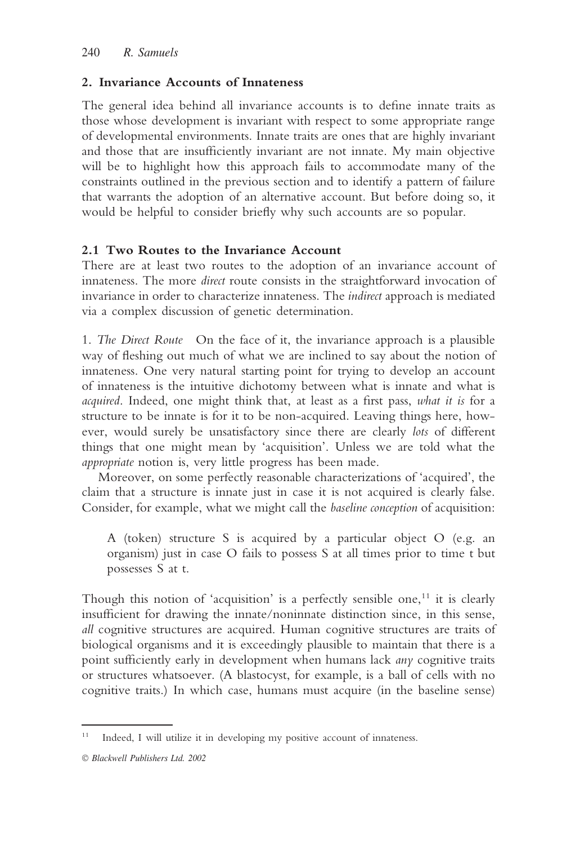### **2. Invariance Accounts of Innateness**

The general idea behind all invariance accounts is to define innate traits as those whose development is invariant with respect to some appropriate range of developmental environments. Innate traits are ones that are highly invariant and those that are insufficiently invariant are not innate. My main objective will be to highlight how this approach fails to accommodate many of the constraints outlined in the previous section and to identify a pattern of failure that warrants the adoption of an alternative account. But before doing so, it would be helpful to consider briefly why such accounts are so popular.

### **2.1 Two Routes to the Invariance Account**

There are at least two routes to the adoption of an invariance account of innateness. The more *direct* route consists in the straightforward invocation of invariance in order to characterize innateness. The *indirect* approach is mediated via a complex discussion of genetic determination.

1. *The Direct Route* On the face of it, the invariance approach is a plausible way of fleshing out much of what we are inclined to say about the notion of innateness. One very natural starting point for trying to develop an account of innateness is the intuitive dichotomy between what is innate and what is *acquired*. Indeed, one might think that, at least as a first pass, *what it is* for a structure to be innate is for it to be non-acquired. Leaving things here, however, would surely be unsatisfactory since there are clearly *lots* of different things that one might mean by 'acquisition'. Unless we are told what the *appropriate* notion is, very little progress has been made.

Moreover, on some perfectly reasonable characterizations of 'acquired', the claim that a structure is innate just in case it is not acquired is clearly false. Consider, for example, what we might call the *baseline conception* of acquisition:

A (token) structure S is acquired by a particular object O (e.g. an organism) just in case O fails to possess S at all times prior to time t but possesses S at t.

Though this notion of 'acquisition' is a perfectly sensible one,<sup>11</sup> it is clearly insufficient for drawing the innate/noninnate distinction since, in this sense, *all* cognitive structures are acquired. Human cognitive structures are traits of biological organisms and it is exceedingly plausible to maintain that there is a point sufficiently early in development when humans lack *any* cognitive traits or structures whatsoever. (A blastocyst, for example, is a ball of cells with no cognitive traits.) In which case, humans must acquire (in the baseline sense)

<sup>&</sup>lt;sup>11</sup> Indeed, I will utilize it in developing my positive account of innateness.

*Blackwell Publishers Ltd. 2002*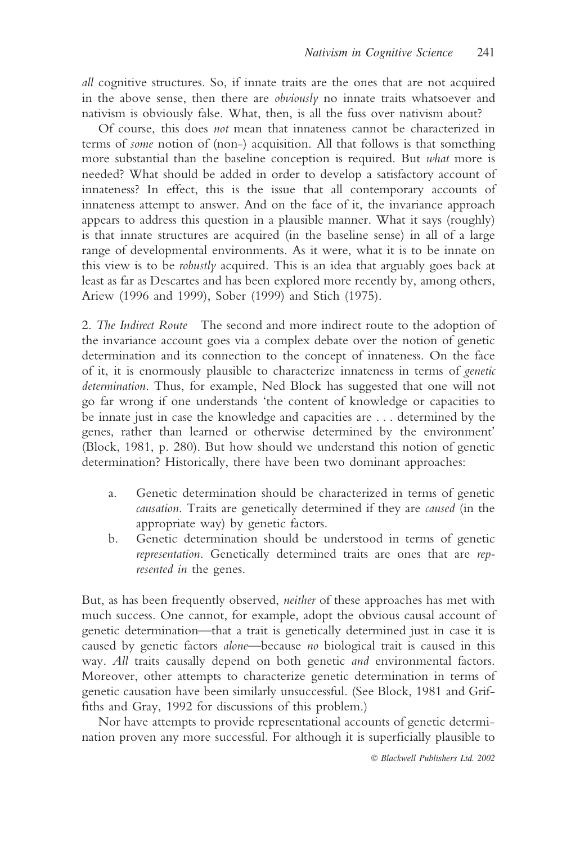*all* cognitive structures. So, if innate traits are the ones that are not acquired in the above sense, then there are *obviously* no innate traits whatsoever and nativism is obviously false. What, then, is all the fuss over nativism about?

Of course, this does *not* mean that innateness cannot be characterized in terms of *some* notion of (non-) acquisition. All that follows is that something more substantial than the baseline conception is required. But *what* more is needed? What should be added in order to develop a satisfactory account of innateness? In effect, this is the issue that all contemporary accounts of innateness attempt to answer. And on the face of it, the invariance approach appears to address this question in a plausible manner. What it says (roughly) is that innate structures are acquired (in the baseline sense) in all of a large range of developmental environments. As it were, what it is to be innate on this view is to be *robustly* acquired. This is an idea that arguably goes back at least as far as Descartes and has been explored more recently by, among others, Ariew (1996 and 1999), Sober (1999) and Stich (1975).

2. *The Indirect Route* The second and more indirect route to the adoption of the invariance account goes via a complex debate over the notion of genetic determination and its connection to the concept of innateness. On the face of it, it is enormously plausible to characterize innateness in terms of *genetic determination*. Thus, for example, Ned Block has suggested that one will not go far wrong if one understands 'the content of knowledge or capacities to be innate just in case the knowledge and capacities are . . . determined by the genes, rather than learned or otherwise determined by the environment' (Block, 1981, p. 280). But how should we understand this notion of genetic determination? Historically, there have been two dominant approaches:

- a. Genetic determination should be characterized in terms of genetic *causation*. Traits are genetically determined if they are *caused* (in the appropriate way) by genetic factors.
- b. Genetic determination should be understood in terms of genetic *representation*. Genetically determined traits are ones that are *represented in* the genes.

But, as has been frequently observed, *neither* of these approaches has met with much success. One cannot, for example, adopt the obvious causal account of genetic determination—that a trait is genetically determined just in case it is caused by genetic factors *alone*—because *no* biological trait is caused in this way. *All* traits causally depend on both genetic *and* environmental factors. Moreover, other attempts to characterize genetic determination in terms of genetic causation have been similarly unsuccessful. (See Block, 1981 and Griffiths and Gray, 1992 for discussions of this problem.)

Nor have attempts to provide representational accounts of genetic determination proven any more successful. For although it is superficially plausible to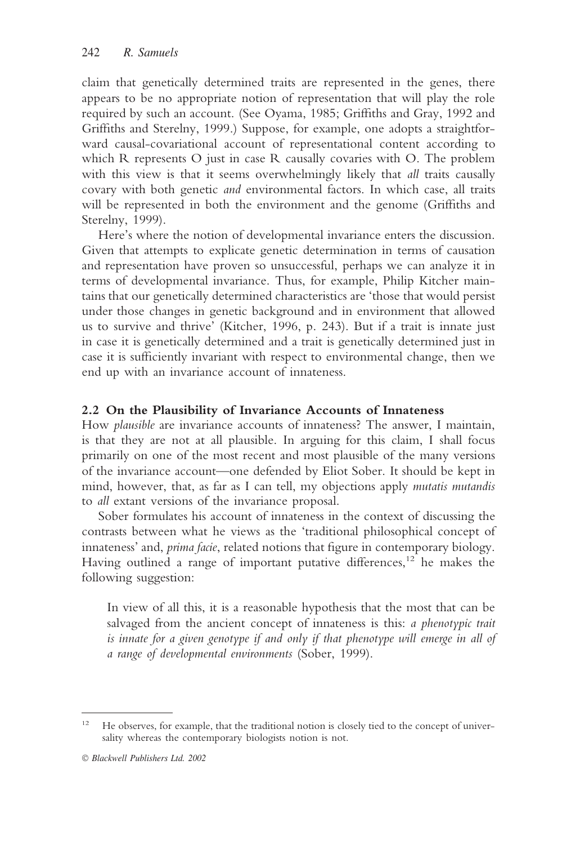claim that genetically determined traits are represented in the genes, there appears to be no appropriate notion of representation that will play the role required by such an account. (See Oyama, 1985; Griffiths and Gray, 1992 and Griffiths and Sterelny, 1999.) Suppose, for example, one adopts a straightforward causal-covariational account of representational content according to which R represents O just in case R causally covaries with O. The problem with this view is that it seems overwhelmingly likely that *all* traits causally covary with both genetic *and* environmental factors. In which case, all traits will be represented in both the environment and the genome (Griffiths and Sterelny, 1999).

Here's where the notion of developmental invariance enters the discussion. Given that attempts to explicate genetic determination in terms of causation and representation have proven so unsuccessful, perhaps we can analyze it in terms of developmental invariance. Thus, for example, Philip Kitcher maintains that our genetically determined characteristics are 'those that would persist under those changes in genetic background and in environment that allowed us to survive and thrive' (Kitcher, 1996, p. 243). But if a trait is innate just in case it is genetically determined and a trait is genetically determined just in case it is sufficiently invariant with respect to environmental change, then we end up with an invariance account of innateness.

### **2.2 On the Plausibility of Invariance Accounts of Innateness**

How *plausible* are invariance accounts of innateness? The answer, I maintain, is that they are not at all plausible. In arguing for this claim, I shall focus primarily on one of the most recent and most plausible of the many versions of the invariance account—one defended by Eliot Sober. It should be kept in mind, however, that, as far as I can tell, my objections apply *mutatis mutandis* to *all* extant versions of the invariance proposal.

Sober formulates his account of innateness in the context of discussing the contrasts between what he views as the 'traditional philosophical concept of innateness' and, *prima facie*, related notions that figure in contemporary biology. Having outlined a range of important putative differences,  $12$  he makes the following suggestion:

In view of all this, it is a reasonable hypothesis that the most that can be salvaged from the ancient concept of innateness is this: *a phenotypic trait is innate for a given genotype if and only if that phenotype will emerge in all of a range of developmental environments* (Sober, 1999).

<sup>12</sup> He observes, for example, that the traditional notion is closely tied to the concept of universality whereas the contemporary biologists notion is not.

*Blackwell Publishers Ltd. 2002*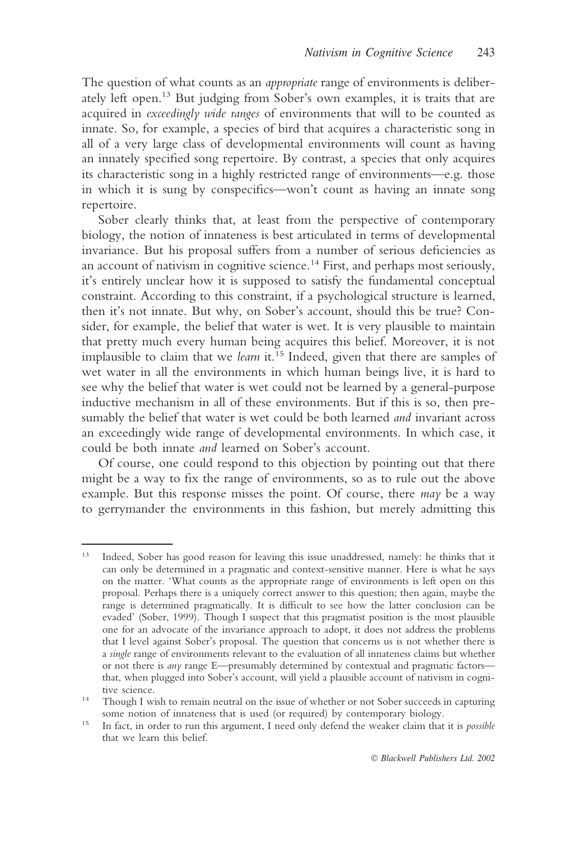The question of what counts as an *appropriate* range of environments is deliberately left open.13 But judging from Sober's own examples, it is traits that are acquired in *exceedingly wide ranges* of environments that will to be counted as innate. So, for example, a species of bird that acquires a characteristic song in all of a very large class of developmental environments will count as having an innately specified song repertoire. By contrast, a species that only acquires its characteristic song in a highly restricted range of environments—e.g. those in which it is sung by conspecifics—won't count as having an innate song repertoire.

Sober clearly thinks that, at least from the perspective of contemporary biology, the notion of innateness is best articulated in terms of developmental invariance. But his proposal suffers from a number of serious deficiencies as an account of nativism in cognitive science.<sup>14</sup> First, and perhaps most seriously, it's entirely unclear how it is supposed to satisfy the fundamental conceptual constraint. According to this constraint, if a psychological structure is learned, then it's not innate. But why, on Sober's account, should this be true? Consider, for example, the belief that water is wet. It is very plausible to maintain that pretty much every human being acquires this belief. Moreover, it is not implausible to claim that we *learn* it.<sup>15</sup> Indeed, given that there are samples of wet water in all the environments in which human beings live, it is hard to see why the belief that water is wet could not be learned by a general-purpose inductive mechanism in all of these environments. But if this is so, then presumably the belief that water is wet could be both learned *and* invariant across an exceedingly wide range of developmental environments. In which case, it could be both innate *and* learned on Sober's account.

Of course, one could respond to this objection by pointing out that there might be a way to fix the range of environments, so as to rule out the above example. But this response misses the point. Of course, there *may* be a way to gerrymander the environments in this fashion, but merely admitting this

<sup>&</sup>lt;sup>13</sup> Indeed, Sober has good reason for leaving this issue unaddressed, namely: he thinks that it can only be determined in a pragmatic and context-sensitive manner. Here is what he says on the matter. 'What counts as the appropriate range of environments is left open on this proposal. Perhaps there is a uniquely correct answer to this question; then again, maybe the range is determined pragmatically. It is difficult to see how the latter conclusion can be evaded' (Sober, 1999). Though I suspect that this pragmatist position is the most plausible one for an advocate of the invariance approach to adopt, it does not address the problems that I level against Sober's proposal. The question that concerns us is not whether there is a *single* range of environments relevant to the evaluation of all innateness claims but whether or not there is *any* range E—presumably determined by contextual and pragmatic factors that, when plugged into Sober's account, will yield a plausible account of nativism in cognitive science.

<sup>14</sup> Though I wish to remain neutral on the issue of whether or not Sober succeeds in capturing some notion of innateness that is used (or required) by contemporary biology.

<sup>15</sup> In fact, in order to run this argument, I need only defend the weaker claim that it is *possible* that we learn this belief.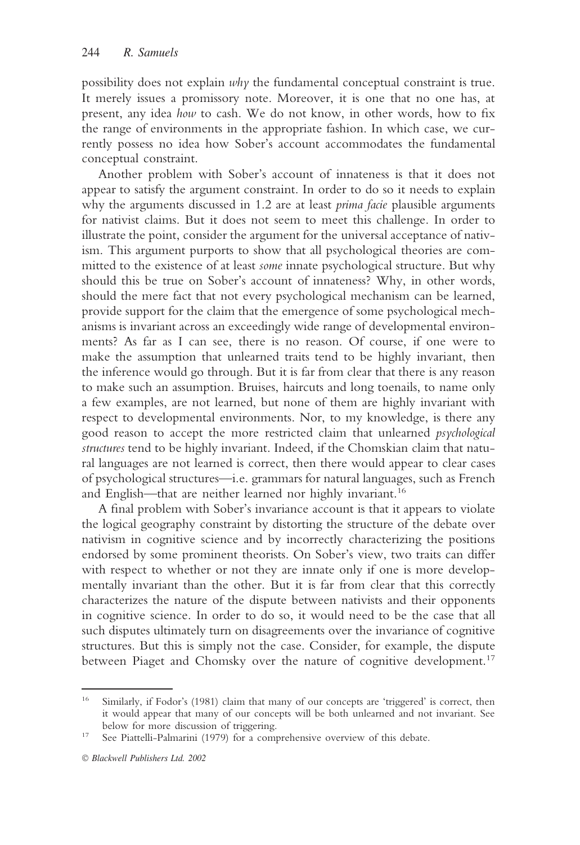possibility does not explain *why* the fundamental conceptual constraint is true. It merely issues a promissory note. Moreover, it is one that no one has, at present, any idea *how* to cash. We do not know, in other words, how to fix the range of environments in the appropriate fashion. In which case, we currently possess no idea how Sober's account accommodates the fundamental conceptual constraint.

Another problem with Sober's account of innateness is that it does not appear to satisfy the argument constraint. In order to do so it needs to explain why the arguments discussed in 1.2 are at least *prima facie* plausible arguments for nativist claims. But it does not seem to meet this challenge. In order to illustrate the point, consider the argument for the universal acceptance of nativism. This argument purports to show that all psychological theories are committed to the existence of at least *some* innate psychological structure. But why should this be true on Sober's account of innateness? Why, in other words, should the mere fact that not every psychological mechanism can be learned, provide support for the claim that the emergence of some psychological mechanisms is invariant across an exceedingly wide range of developmental environments? As far as I can see, there is no reason. Of course, if one were to make the assumption that unlearned traits tend to be highly invariant, then the inference would go through. But it is far from clear that there is any reason to make such an assumption. Bruises, haircuts and long toenails, to name only a few examples, are not learned, but none of them are highly invariant with respect to developmental environments. Nor, to my knowledge, is there any good reason to accept the more restricted claim that unlearned *psychological structures* tend to be highly invariant. Indeed, if the Chomskian claim that natural languages are not learned is correct, then there would appear to clear cases of psychological structures—i.e. grammars for natural languages, such as French and English—that are neither learned nor highly invariant.<sup>16</sup>

A final problem with Sober's invariance account is that it appears to violate the logical geography constraint by distorting the structure of the debate over nativism in cognitive science and by incorrectly characterizing the positions endorsed by some prominent theorists. On Sober's view, two traits can differ with respect to whether or not they are innate only if one is more developmentally invariant than the other. But it is far from clear that this correctly characterizes the nature of the dispute between nativists and their opponents in cognitive science. In order to do so, it would need to be the case that all such disputes ultimately turn on disagreements over the invariance of cognitive structures. But this is simply not the case. Consider, for example, the dispute between Piaget and Chomsky over the nature of cognitive development.<sup>17</sup>

<sup>&</sup>lt;sup>16</sup> Similarly, if Fodor's (1981) claim that many of our concepts are 'triggered' is correct, then it would appear that many of our concepts will be both unlearned and not invariant. See below for more discussion of triggering.

<sup>&</sup>lt;sup>17</sup> See Piattelli-Palmarini (1979) for a comprehensive overview of this debate.

*Blackwell Publishers Ltd. 2002*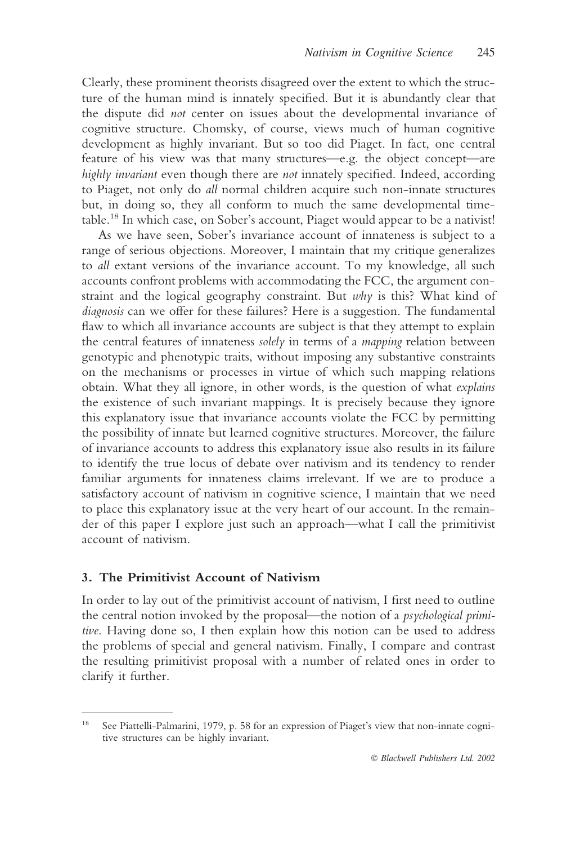Clearly, these prominent theorists disagreed over the extent to which the structure of the human mind is innately specified. But it is abundantly clear that the dispute did *not* center on issues about the developmental invariance of cognitive structure. Chomsky, of course, views much of human cognitive development as highly invariant. But so too did Piaget. In fact, one central feature of his view was that many structures—e.g. the object concept—are *highly invariant* even though there are *not* innately specified. Indeed, according to Piaget, not only do *all* normal children acquire such non-innate structures but, in doing so, they all conform to much the same developmental timetable.18 In which case, on Sober's account, Piaget would appear to be a nativist!

As we have seen, Sober's invariance account of innateness is subject to a range of serious objections. Moreover, I maintain that my critique generalizes to *all* extant versions of the invariance account. To my knowledge, all such accounts confront problems with accommodating the FCC, the argument constraint and the logical geography constraint. But *why* is this? What kind of *diagnosis* can we offer for these failures? Here is a suggestion. The fundamental flaw to which all invariance accounts are subject is that they attempt to explain the central features of innateness *solely* in terms of a *mapping* relation between genotypic and phenotypic traits, without imposing any substantive constraints on the mechanisms or processes in virtue of which such mapping relations obtain. What they all ignore, in other words, is the question of what *explains* the existence of such invariant mappings. It is precisely because they ignore this explanatory issue that invariance accounts violate the FCC by permitting the possibility of innate but learned cognitive structures. Moreover, the failure of invariance accounts to address this explanatory issue also results in its failure to identify the true locus of debate over nativism and its tendency to render familiar arguments for innateness claims irrelevant. If we are to produce a satisfactory account of nativism in cognitive science, I maintain that we need to place this explanatory issue at the very heart of our account. In the remainder of this paper I explore just such an approach—what I call the primitivist account of nativism.

#### **3. The Primitivist Account of Nativism**

In order to lay out of the primitivist account of nativism, I first need to outline the central notion invoked by the proposal—the notion of a *psychological primitive*. Having done so, I then explain how this notion can be used to address the problems of special and general nativism. Finally, I compare and contrast the resulting primitivist proposal with a number of related ones in order to clarify it further.

<sup>&</sup>lt;sup>18</sup> See Piattelli-Palmarini, 1979, p. 58 for an expression of Piaget's view that non-innate cognitive structures can be highly invariant.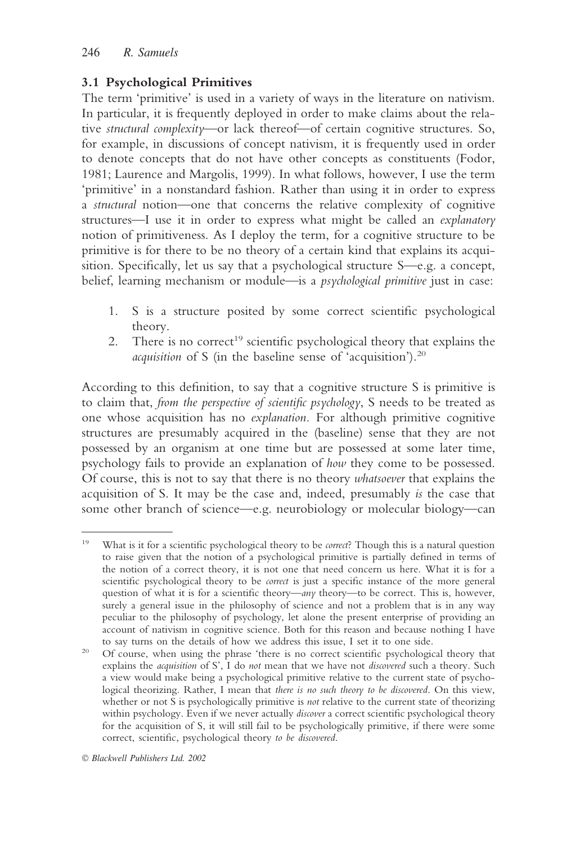## **3.1 Psychological Primitives**

The term 'primitive' is used in a variety of ways in the literature on nativism. In particular, it is frequently deployed in order to make claims about the relative *structural complexity*—or lack thereof—of certain cognitive structures. So, for example, in discussions of concept nativism, it is frequently used in order to denote concepts that do not have other concepts as constituents (Fodor, 1981; Laurence and Margolis, 1999). In what follows, however, I use the term 'primitive' in a nonstandard fashion. Rather than using it in order to express a *structural* notion—one that concerns the relative complexity of cognitive structures—I use it in order to express what might be called an *explanatory* notion of primitiveness. As I deploy the term, for a cognitive structure to be primitive is for there to be no theory of a certain kind that explains its acquisition. Specifically, let us say that a psychological structure S—e.g. a concept, belief, learning mechanism or module—is a *psychological primitive* just in case:

- 1. S is a structure posited by some correct scientific psychological theory.
- 2. There is no correct<sup>19</sup> scientific psychological theory that explains the *acquisition* of S (in the baseline sense of 'acquisition').<sup>20</sup>

According to this definition, to say that a cognitive structure S is primitive is to claim that, *from the perspective of scientific psychology*, S needs to be treated as one whose acquisition has no *explanation.* For although primitive cognitive structures are presumably acquired in the (baseline) sense that they are not possessed by an organism at one time but are possessed at some later time, psychology fails to provide an explanation of *how* they come to be possessed. Of course, this is not to say that there is no theory *whatsoever* that explains the acquisition of S. It may be the case and, indeed, presumably *is* the case that some other branch of science—e.g. neurobiology or molecular biology—can

<sup>19</sup> What is it for a scientific psychological theory to be *correct*? Though this is a natural question to raise given that the notion of a psychological primitive is partially defined in terms of the notion of a correct theory, it is not one that need concern us here. What it is for a scientific psychological theory to be *correct* is just a specific instance of the more general question of what it is for a scientific theory—*any* theory—to be correct. This is, however, surely a general issue in the philosophy of science and not a problem that is in any way peculiar to the philosophy of psychology, let alone the present enterprise of providing an account of nativism in cognitive science. Both for this reason and because nothing I have to say turns on the details of how we address this issue, I set it to one side.

<sup>&</sup>lt;sup>20</sup> Of course, when using the phrase 'there is no correct scientific psychological theory that explains the *acquisition* of S', I do *not* mean that we have not *discovered* such a theory. Such a view would make being a psychological primitive relative to the current state of psychological theorizing. Rather, I mean that *there is no such theory to be discovered*. On this view, whether or not S is psychologically primitive is *not* relative to the current state of theorizing within psychology. Even if we never actually *discover* a correct scientific psychological theory for the acquisition of S, it will still fail to be psychologically primitive, if there were some correct, scientific, psychological theory *to be discovered*.

*Blackwell Publishers Ltd. 2002*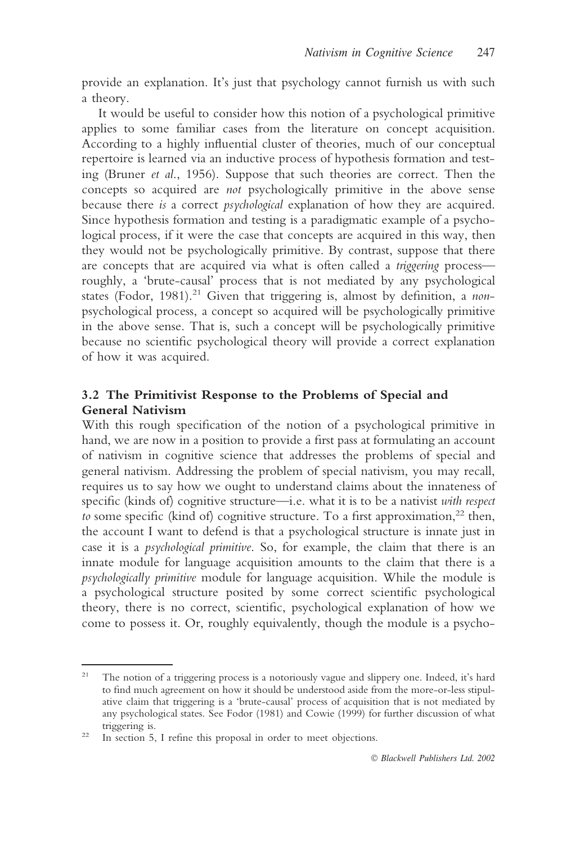provide an explanation. It's just that psychology cannot furnish us with such a theory.

It would be useful to consider how this notion of a psychological primitive applies to some familiar cases from the literature on concept acquisition. According to a highly influential cluster of theories, much of our conceptual repertoire is learned via an inductive process of hypothesis formation and testing (Bruner *et al*., 1956). Suppose that such theories are correct. Then the concepts so acquired are *not* psychologically primitive in the above sense because there *is* a correct *psychological* explanation of how they are acquired. Since hypothesis formation and testing is a paradigmatic example of a psychological process, if it were the case that concepts are acquired in this way, then they would not be psychologically primitive. By contrast, suppose that there are concepts that are acquired via what is often called a *triggering* process roughly, a 'brute-causal' process that is not mediated by any psychological states (Fodor, 1981).<sup>21</sup> Given that triggering is, almost by definition, a *non*psychological process, a concept so acquired will be psychologically primitive in the above sense. That is, such a concept will be psychologically primitive because no scientific psychological theory will provide a correct explanation of how it was acquired.

### **3.2 The Primitivist Response to the Problems of Special and General Nativism**

With this rough specification of the notion of a psychological primitive in hand, we are now in a position to provide a first pass at formulating an account of nativism in cognitive science that addresses the problems of special and general nativism. Addressing the problem of special nativism, you may recall, requires us to say how we ought to understand claims about the innateness of specific (kinds of) cognitive structure—i.e. what it is to be a nativist *with respect to* some specific (kind of) cognitive structure. To a first approximation,<sup>22</sup> then, the account I want to defend is that a psychological structure is innate just in case it is a *psychological primitive*. So, for example, the claim that there is an innate module for language acquisition amounts to the claim that there is a *psychologically primitive* module for language acquisition. While the module is a psychological structure posited by some correct scientific psychological theory, there is no correct, scientific, psychological explanation of how we come to possess it. Or, roughly equivalently, though the module is a psycho-

<sup>&</sup>lt;sup>21</sup> The notion of a triggering process is a notoriously vague and slippery one. Indeed, it's hard to find much agreement on how it should be understood aside from the more-or-less stipulative claim that triggering is a 'brute-causal' process of acquisition that is not mediated by any psychological states. See Fodor (1981) and Cowie (1999) for further discussion of what triggering is.

 $22$  In section 5, I refine this proposal in order to meet objections.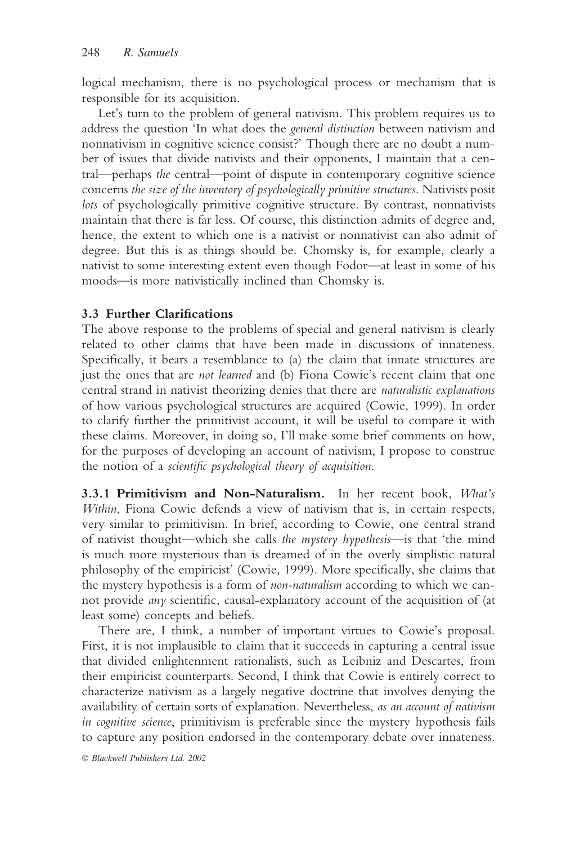logical mechanism, there is no psychological process or mechanism that is responsible for its acquisition.

Let's turn to the problem of general nativism. This problem requires us to address the question 'In what does the *general distinction* between nativism and nonnativism in cognitive science consist?' Though there are no doubt a number of issues that divide nativists and their opponents, I maintain that a central—perhaps *the* central—point of dispute in contemporary cognitive science concerns *the size of the inventory of psychologically primitive structures*. Nativists posit *lots* of psychologically primitive cognitive structure. By contrast, nonnativists maintain that there is far less. Of course, this distinction admits of degree and, hence, the extent to which one is a nativist or nonnativist can also admit of degree. But this is as things should be. Chomsky is, for example, clearly a nativist to some interesting extent even though Fodor—at least in some of his moods—is more nativistically inclined than Chomsky is.

### **3.3 Further Clarifications**

The above response to the problems of special and general nativism is clearly related to other claims that have been made in discussions of innateness. Specifically, it bears a resemblance to (a) the claim that innate structures are just the ones that are *not learned* and (b) Fiona Cowie's recent claim that one central strand in nativist theorizing denies that there are *naturalistic explanations* of how various psychological structures are acquired (Cowie, 1999). In order to clarify further the primitivist account, it will be useful to compare it with these claims. Moreover, in doing so, I'll make some brief comments on how, for the purposes of developing an account of nativism, I propose to construe the notion of a *scientific psychological theory of acquisition*.

**3.3.1 Primitivism and Non-Naturalism.** In her recent book, *What's Within*, Fiona Cowie defends a view of nativism that is, in certain respects, very similar to primitivism. In brief, according to Cowie, one central strand of nativist thought—which she calls *the mystery hypothesis*—is that 'the mind is much more mysterious than is dreamed of in the overly simplistic natural philosophy of the empiricist' (Cowie, 1999). More specifically, she claims that the mystery hypothesis is a form of *non-naturalism* according to which we cannot provide *any* scientific, causal-explanatory account of the acquisition of (at least some) concepts and beliefs.

There are, I think, a number of important virtues to Cowie's proposal. First, it is not implausible to claim that it succeeds in capturing a central issue that divided enlightenment rationalists, such as Leibniz and Descartes, from their empiricist counterparts. Second, I think that Cowie is entirely correct to characterize nativism as a largely negative doctrine that involves denying the availability of certain sorts of explanation. Nevertheless, *as an account of nativism in cognitive science*, primitivism is preferable since the mystery hypothesis fails to capture any position endorsed in the contemporary debate over innateness.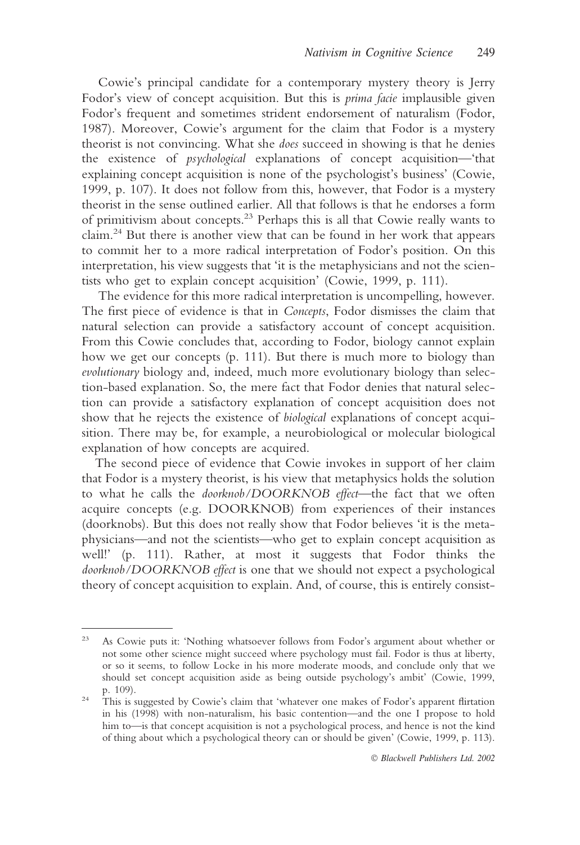Cowie's principal candidate for a contemporary mystery theory is Jerry Fodor's view of concept acquisition. But this is *prima facie* implausible given Fodor's frequent and sometimes strident endorsement of naturalism (Fodor, 1987). Moreover, Cowie's argument for the claim that Fodor is a mystery theorist is not convincing. What she *does* succeed in showing is that he denies the existence of *psychological* explanations of concept acquisition—'that explaining concept acquisition is none of the psychologist's business' (Cowie, 1999, p. 107). It does not follow from this, however, that Fodor is a mystery theorist in the sense outlined earlier. All that follows is that he endorses a form of primitivism about concepts.23 Perhaps this is all that Cowie really wants to claim.24 But there is another view that can be found in her work that appears to commit her to a more radical interpretation of Fodor's position. On this interpretation, his view suggests that 'it is the metaphysicians and not the scientists who get to explain concept acquisition' (Cowie, 1999, p. 111).

The evidence for this more radical interpretation is uncompelling, however. The first piece of evidence is that in *Concepts*, Fodor dismisses the claim that natural selection can provide a satisfactory account of concept acquisition. From this Cowie concludes that, according to Fodor, biology cannot explain how we get our concepts (p. 111). But there is much more to biology than *evolutionary* biology and, indeed, much more evolutionary biology than selection-based explanation. So, the mere fact that Fodor denies that natural selection can provide a satisfactory explanation of concept acquisition does not show that he rejects the existence of *biological* explanations of concept acquisition. There may be, for example, a neurobiological or molecular biological explanation of how concepts are acquired.

The second piece of evidence that Cowie invokes in support of her claim that Fodor is a mystery theorist, is his view that metaphysics holds the solution to what he calls the *doorknob/DOORKNOB effect*—the fact that we often acquire concepts (e.g. DOORKNOB) from experiences of their instances (doorknobs). But this does not really show that Fodor believes 'it is the metaphysicians—and not the scientists—who get to explain concept acquisition as well!' (p. 111). Rather, at most it suggests that Fodor thinks the *doorknob/DOORKNOB effect* is one that we should not expect a psychological theory of concept acquisition to explain. And, of course, this is entirely consist-

<sup>23</sup> As Cowie puts it: 'Nothing whatsoever follows from Fodor's argument about whether or not some other science might succeed where psychology must fail. Fodor is thus at liberty, or so it seems, to follow Locke in his more moderate moods, and conclude only that we should set concept acquisition aside as being outside psychology's ambit' (Cowie, 1999, p. 109).

<sup>&</sup>lt;sup>24</sup> This is suggested by Cowie's claim that 'whatever one makes of Fodor's apparent flirtation in his (1998) with non-naturalism, his basic contention—and the one I propose to hold him to—is that concept acquisition is not a psychological process, and hence is not the kind of thing about which a psychological theory can or should be given' (Cowie, 1999, p. 113).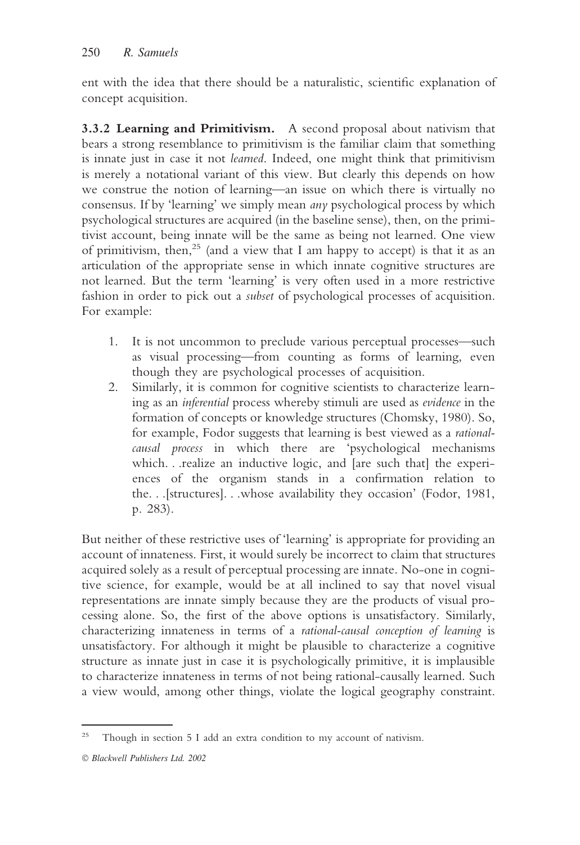ent with the idea that there should be a naturalistic, scientific explanation of concept acquisition.

**3.3.2 Learning and Primitivism.** A second proposal about nativism that bears a strong resemblance to primitivism is the familiar claim that something is innate just in case it not *learned*. Indeed, one might think that primitivism is merely a notational variant of this view. But clearly this depends on how we construe the notion of learning—an issue on which there is virtually no consensus. If by 'learning' we simply mean *any* psychological process by which psychological structures are acquired (in the baseline sense), then, on the primitivist account, being innate will be the same as being not learned. One view of primitivism, then,<sup>25</sup> (and a view that I am happy to accept) is that it as an articulation of the appropriate sense in which innate cognitive structures are not learned. But the term 'learning' is very often used in a more restrictive fashion in order to pick out a *subset* of psychological processes of acquisition. For example:

- 1. It is not uncommon to preclude various perceptual processes—such as visual processing—from counting as forms of learning, even though they are psychological processes of acquisition.
- 2. Similarly, it is common for cognitive scientists to characterize learning as an *inferential* process whereby stimuli are used as *evidence* in the formation of concepts or knowledge structures (Chomsky, 1980). So, for example, Fodor suggests that learning is best viewed as a *rationalcausal process* in which there are 'psychological mechanisms which. . .realize an inductive logic, and [are such that] the experiences of the organism stands in a confirmation relation to the. . .[structures]. . .whose availability they occasion' (Fodor, 1981, p. 283).

But neither of these restrictive uses of 'learning' is appropriate for providing an account of innateness. First, it would surely be incorrect to claim that structures acquired solely as a result of perceptual processing are innate. No-one in cognitive science, for example, would be at all inclined to say that novel visual representations are innate simply because they are the products of visual processing alone. So, the first of the above options is unsatisfactory. Similarly, characterizing innateness in terms of a *rational-causal conception of learning* is unsatisfactory. For although it might be plausible to characterize a cognitive structure as innate just in case it is psychologically primitive, it is implausible to characterize innateness in terms of not being rational-causally learned. Such a view would, among other things, violate the logical geography constraint.

 $25$  Though in section 5 I add an extra condition to my account of nativism.

*Blackwell Publishers Ltd. 2002*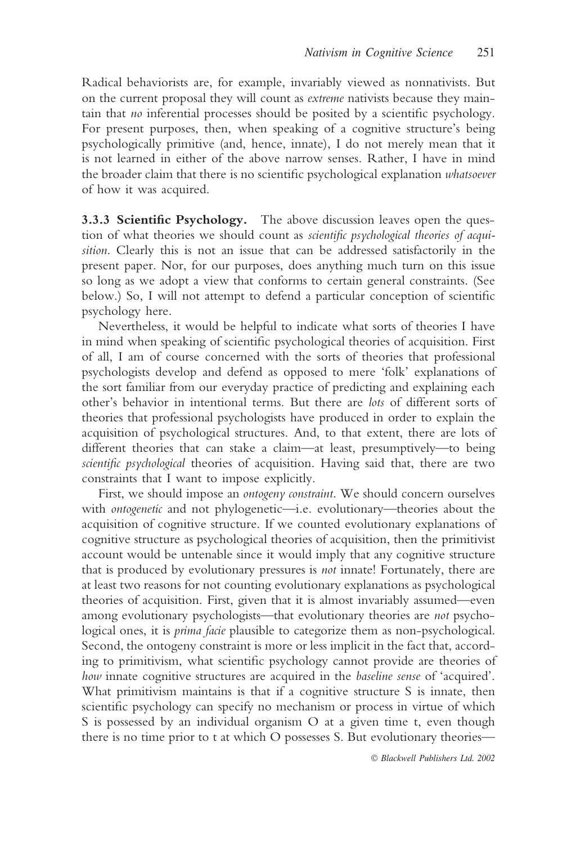Radical behaviorists are, for example, invariably viewed as nonnativists. But on the current proposal they will count as *extreme* nativists because they maintain that *no* inferential processes should be posited by a scientific psychology. For present purposes, then, when speaking of a cognitive structure's being psychologically primitive (and, hence, innate), I do not merely mean that it is not learned in either of the above narrow senses. Rather, I have in mind the broader claim that there is no scientific psychological explanation *whatsoever* of how it was acquired.

**3.3.3 Scientific Psychology.** The above discussion leaves open the question of what theories we should count as *scientific psychological theories of acquisition*. Clearly this is not an issue that can be addressed satisfactorily in the present paper. Nor, for our purposes, does anything much turn on this issue so long as we adopt a view that conforms to certain general constraints. (See below.) So, I will not attempt to defend a particular conception of scientific psychology here.

Nevertheless, it would be helpful to indicate what sorts of theories I have in mind when speaking of scientific psychological theories of acquisition. First of all, I am of course concerned with the sorts of theories that professional psychologists develop and defend as opposed to mere 'folk' explanations of the sort familiar from our everyday practice of predicting and explaining each other's behavior in intentional terms. But there are *lots* of different sorts of theories that professional psychologists have produced in order to explain the acquisition of psychological structures. And, to that extent, there are lots of different theories that can stake a claim—at least, presumptively—to being *scientific psychological* theories of acquisition. Having said that, there are two constraints that I want to impose explicitly.

First, we should impose an *ontogeny constraint*. We should concern ourselves with *ontogenetic* and not phylogenetic—i.e. evolutionary—theories about the acquisition of cognitive structure. If we counted evolutionary explanations of cognitive structure as psychological theories of acquisition, then the primitivist account would be untenable since it would imply that any cognitive structure that is produced by evolutionary pressures is *not* innate! Fortunately, there are at least two reasons for not counting evolutionary explanations as psychological theories of acquisition. First, given that it is almost invariably assumed—even among evolutionary psychologists—that evolutionary theories are *not* psychological ones, it is *prima facie* plausible to categorize them as non-psychological. Second, the ontogeny constraint is more or less implicit in the fact that, according to primitivism, what scientific psychology cannot provide are theories of *how* innate cognitive structures are acquired in the *baseline sense* of 'acquired'. What primitivism maintains is that if a cognitive structure S is innate, then scientific psychology can specify no mechanism or process in virtue of which S is possessed by an individual organism O at a given time t, even though there is no time prior to t at which O possesses S. But evolutionary theories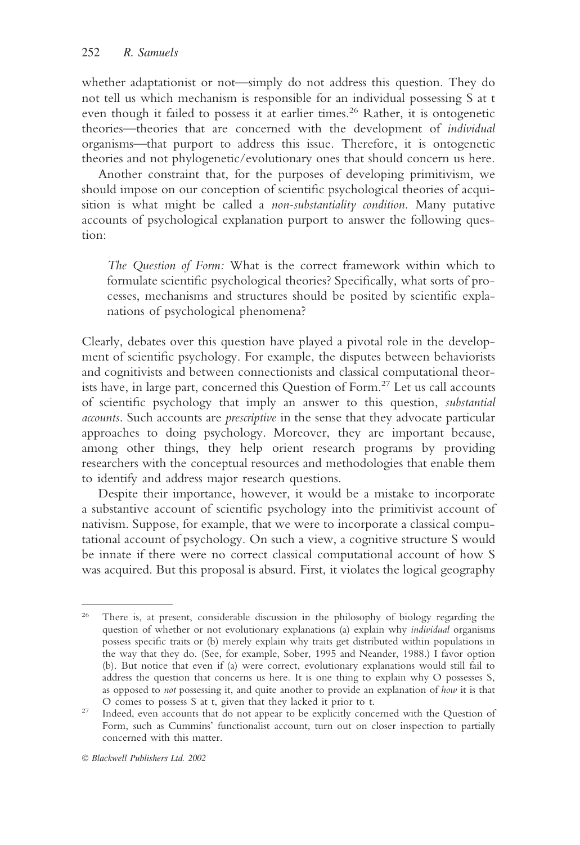whether adaptationist or not—simply do not address this question. They do not tell us which mechanism is responsible for an individual possessing S at t even though it failed to possess it at earlier times.<sup>26</sup> Rather, it is ontogenetic theories—theories that are concerned with the development of *individual* organisms—that purport to address this issue. Therefore, it is ontogenetic theories and not phylogenetic/evolutionary ones that should concern us here.

Another constraint that, for the purposes of developing primitivism, we should impose on our conception of scientific psychological theories of acquisition is what might be called a *non-substantiality condition*. Many putative accounts of psychological explanation purport to answer the following question:

*The Question of Form:* What is the correct framework within which to formulate scientific psychological theories? Specifically, what sorts of processes, mechanisms and structures should be posited by scientific explanations of psychological phenomena?

Clearly, debates over this question have played a pivotal role in the development of scientific psychology. For example, the disputes between behaviorists and cognitivists and between connectionists and classical computational theorists have, in large part, concerned this Question of Form.<sup>27</sup> Let us call accounts of scientific psychology that imply an answer to this question, *substantial accounts*. Such accounts are *prescriptive* in the sense that they advocate particular approaches to doing psychology. Moreover, they are important because, among other things, they help orient research programs by providing researchers with the conceptual resources and methodologies that enable them to identify and address major research questions.

Despite their importance, however, it would be a mistake to incorporate a substantive account of scientific psychology into the primitivist account of nativism. Suppose, for example, that we were to incorporate a classical computational account of psychology. On such a view, a cognitive structure S would be innate if there were no correct classical computational account of how S was acquired. But this proposal is absurd. First, it violates the logical geography

<sup>&</sup>lt;sup>26</sup> There is, at present, considerable discussion in the philosophy of biology regarding the question of whether or not evolutionary explanations (a) explain why *individual* organisms possess specific traits or (b) merely explain why traits get distributed within populations in the way that they do. (See, for example, Sober, 1995 and Neander, 1988.) I favor option (b). But notice that even if (a) were correct, evolutionary explanations would still fail to address the question that concerns us here. It is one thing to explain why O possesses S, as opposed to *not* possessing it, and quite another to provide an explanation of *how* it is that O comes to possess S at t, given that they lacked it prior to t.

<sup>&</sup>lt;sup>27</sup> Indeed, even accounts that do not appear to be explicitly concerned with the Question of Form, such as Cummins' functionalist account, turn out on closer inspection to partially concerned with this matter.

*Blackwell Publishers Ltd. 2002*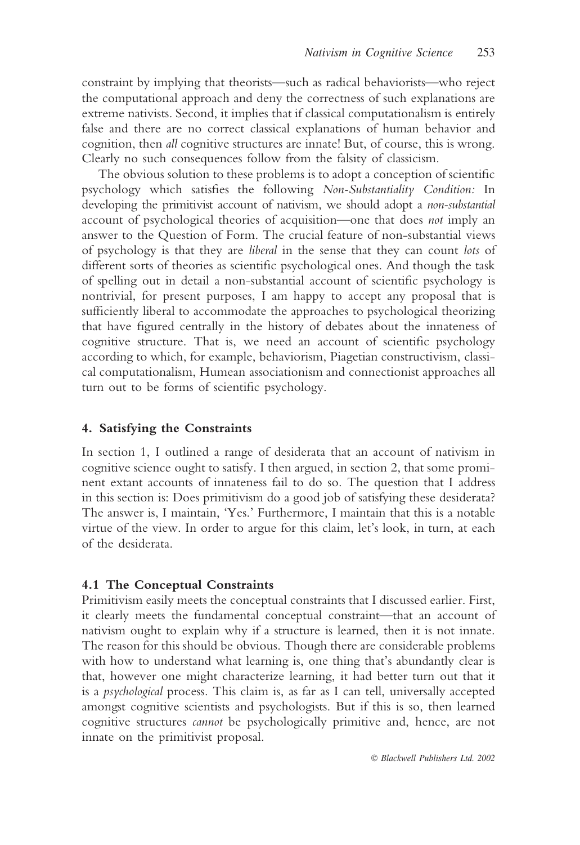constraint by implying that theorists—such as radical behaviorists—who reject the computational approach and deny the correctness of such explanations are extreme nativists. Second, it implies that if classical computationalism is entirely false and there are no correct classical explanations of human behavior and cognition, then *all* cognitive structures are innate! But, of course, this is wrong. Clearly no such consequences follow from the falsity of classicism.

The obvious solution to these problems is to adopt a conception of scientific psychology which satisfies the following *Non-Substantiality Condition:* In developing the primitivist account of nativism, we should adopt a *non-substantial* account of psychological theories of acquisition—one that does *not* imply an answer to the Question of Form. The crucial feature of non-substantial views of psychology is that they are *liberal* in the sense that they can count *lots* of different sorts of theories as scientific psychological ones. And though the task of spelling out in detail a non-substantial account of scientific psychology is nontrivial, for present purposes, I am happy to accept any proposal that is sufficiently liberal to accommodate the approaches to psychological theorizing that have figured centrally in the history of debates about the innateness of cognitive structure. That is, we need an account of scientific psychology according to which, for example, behaviorism, Piagetian constructivism, classical computationalism, Humean associationism and connectionist approaches all turn out to be forms of scientific psychology.

#### **4. Satisfying the Constraints**

In section 1, I outlined a range of desiderata that an account of nativism in cognitive science ought to satisfy. I then argued, in section 2, that some prominent extant accounts of innateness fail to do so. The question that I address in this section is: Does primitivism do a good job of satisfying these desiderata? The answer is, I maintain, 'Yes.' Furthermore, I maintain that this is a notable virtue of the view. In order to argue for this claim, let's look, in turn, at each of the desiderata.

#### **4.1 The Conceptual Constraints**

Primitivism easily meets the conceptual constraints that I discussed earlier. First, it clearly meets the fundamental conceptual constraint—that an account of nativism ought to explain why if a structure is learned, then it is not innate. The reason for this should be obvious. Though there are considerable problems with how to understand what learning is, one thing that's abundantly clear is that, however one might characterize learning, it had better turn out that it is a *psychological* process. This claim is, as far as I can tell, universally accepted amongst cognitive scientists and psychologists. But if this is so, then learned cognitive structures *cannot* be psychologically primitive and, hence, are not innate on the primitivist proposal.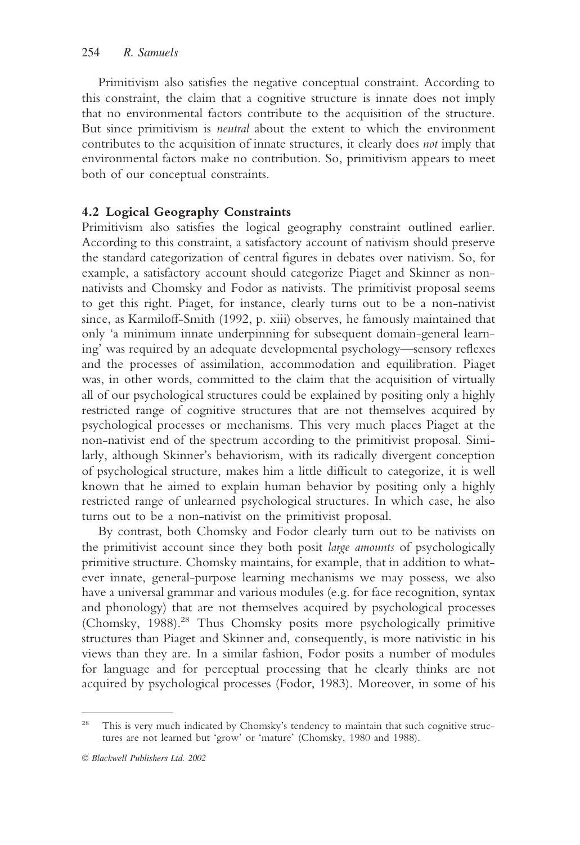Primitivism also satisfies the negative conceptual constraint. According to this constraint, the claim that a cognitive structure is innate does not imply that no environmental factors contribute to the acquisition of the structure. But since primitivism is *neutral* about the extent to which the environment contributes to the acquisition of innate structures, it clearly does *not* imply that environmental factors make no contribution. So, primitivism appears to meet both of our conceptual constraints.

### **4.2 Logical Geography Constraints**

Primitivism also satisfies the logical geography constraint outlined earlier. According to this constraint, a satisfactory account of nativism should preserve the standard categorization of central figures in debates over nativism. So, for example, a satisfactory account should categorize Piaget and Skinner as nonnativists and Chomsky and Fodor as nativists. The primitivist proposal seems to get this right. Piaget, for instance, clearly turns out to be a non-nativist since, as Karmiloff-Smith (1992, p. xiii) observes, he famously maintained that only 'a minimum innate underpinning for subsequent domain-general learning' was required by an adequate developmental psychology—sensory reflexes and the processes of assimilation, accommodation and equilibration. Piaget was, in other words, committed to the claim that the acquisition of virtually all of our psychological structures could be explained by positing only a highly restricted range of cognitive structures that are not themselves acquired by psychological processes or mechanisms. This very much places Piaget at the non-nativist end of the spectrum according to the primitivist proposal. Similarly, although Skinner's behaviorism, with its radically divergent conception of psychological structure, makes him a little difficult to categorize, it is well known that he aimed to explain human behavior by positing only a highly restricted range of unlearned psychological structures. In which case, he also turns out to be a non-nativist on the primitivist proposal.

By contrast, both Chomsky and Fodor clearly turn out to be nativists on the primitivist account since they both posit *large amounts* of psychologically primitive structure. Chomsky maintains, for example, that in addition to whatever innate, general-purpose learning mechanisms we may possess, we also have a universal grammar and various modules (e.g. for face recognition, syntax and phonology) that are not themselves acquired by psychological processes (Chomsky, 1988).<sup>28</sup> Thus Chomsky posits more psychologically primitive structures than Piaget and Skinner and, consequently, is more nativistic in his views than they are. In a similar fashion, Fodor posits a number of modules for language and for perceptual processing that he clearly thinks are not acquired by psychological processes (Fodor, 1983). Moreover, in some of his

<sup>&</sup>lt;sup>28</sup> This is very much indicated by Chomsky's tendency to maintain that such cognitive structures are not learned but 'grow' or 'mature' (Chomsky, 1980 and 1988).

*Blackwell Publishers Ltd. 2002*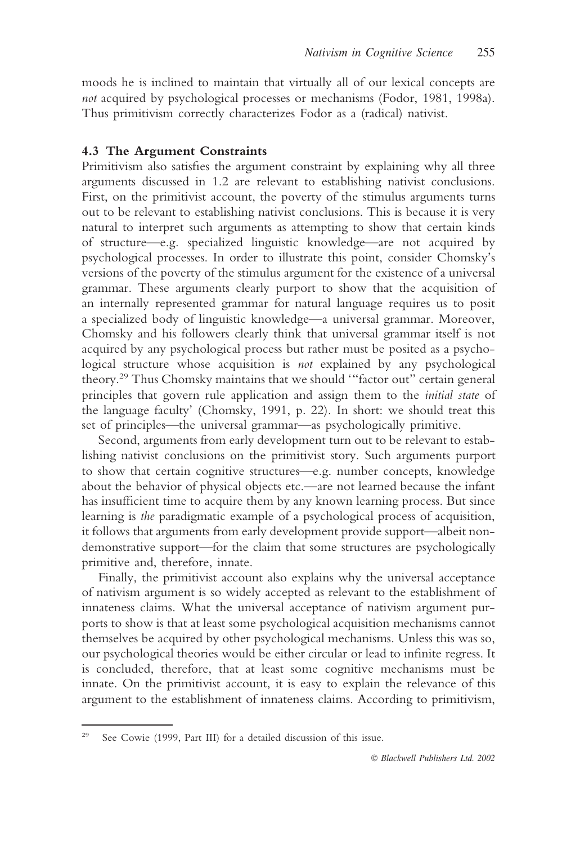moods he is inclined to maintain that virtually all of our lexical concepts are *not* acquired by psychological processes or mechanisms (Fodor, 1981, 1998a). Thus primitivism correctly characterizes Fodor as a (radical) nativist.

### **4.3 The Argument Constraints**

Primitivism also satisfies the argument constraint by explaining why all three arguments discussed in 1.2 are relevant to establishing nativist conclusions. First, on the primitivist account, the poverty of the stimulus arguments turns out to be relevant to establishing nativist conclusions. This is because it is very natural to interpret such arguments as attempting to show that certain kinds of structure—e.g. specialized linguistic knowledge—are not acquired by psychological processes. In order to illustrate this point, consider Chomsky's versions of the poverty of the stimulus argument for the existence of a universal grammar. These arguments clearly purport to show that the acquisition of an internally represented grammar for natural language requires us to posit a specialized body of linguistic knowledge—a universal grammar. Moreover, Chomsky and his followers clearly think that universal grammar itself is not acquired by any psychological process but rather must be posited as a psychological structure whose acquisition is *not* explained by any psychological theory.29 Thus Chomsky maintains that we should '"factor out" certain general principles that govern rule application and assign them to the *initial state* of the language faculty' (Chomsky, 1991, p. 22). In short: we should treat this set of principles—the universal grammar—as psychologically primitive.

Second, arguments from early development turn out to be relevant to establishing nativist conclusions on the primitivist story. Such arguments purport to show that certain cognitive structures—e.g. number concepts, knowledge about the behavior of physical objects etc.—are not learned because the infant has insufficient time to acquire them by any known learning process. But since learning is *the* paradigmatic example of a psychological process of acquisition, it follows that arguments from early development provide support—albeit nondemonstrative support—for the claim that some structures are psychologically primitive and, therefore, innate.

Finally, the primitivist account also explains why the universal acceptance of nativism argument is so widely accepted as relevant to the establishment of innateness claims. What the universal acceptance of nativism argument purports to show is that at least some psychological acquisition mechanisms cannot themselves be acquired by other psychological mechanisms. Unless this was so, our psychological theories would be either circular or lead to infinite regress. It is concluded, therefore, that at least some cognitive mechanisms must be innate. On the primitivist account, it is easy to explain the relevance of this argument to the establishment of innateness claims. According to primitivism,

See Cowie (1999, Part III) for a detailed discussion of this issue.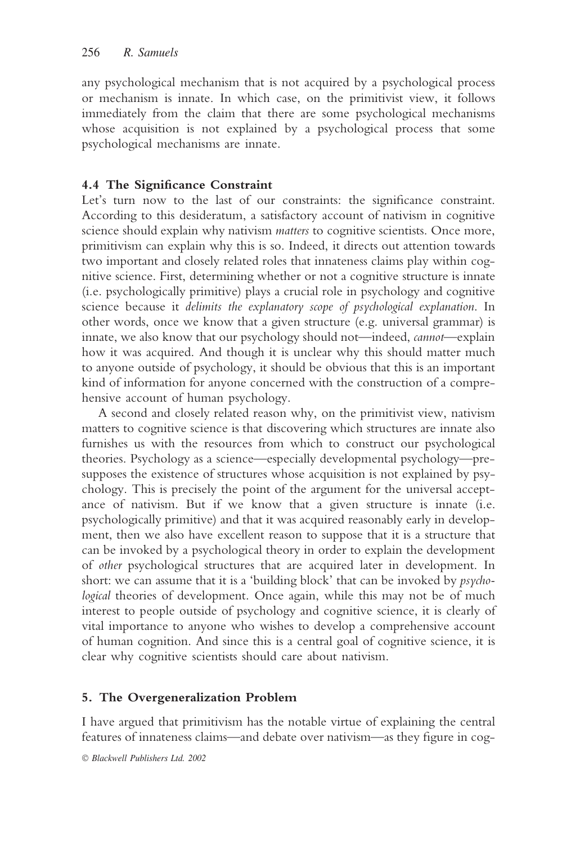any psychological mechanism that is not acquired by a psychological process or mechanism is innate. In which case, on the primitivist view, it follows immediately from the claim that there are some psychological mechanisms whose acquisition is not explained by a psychological process that some psychological mechanisms are innate.

### **4.4 The Significance Constraint**

Let's turn now to the last of our constraints: the significance constraint. According to this desideratum, a satisfactory account of nativism in cognitive science should explain why nativism *matters* to cognitive scientists. Once more, primitivism can explain why this is so. Indeed, it directs out attention towards two important and closely related roles that innateness claims play within cognitive science. First, determining whether or not a cognitive structure is innate (i.e. psychologically primitive) plays a crucial role in psychology and cognitive science because it *delimits the explanatory scope of psychological explanation*. In other words, once we know that a given structure (e.g. universal grammar) is innate, we also know that our psychology should not—indeed, *cannot*—explain how it was acquired. And though it is unclear why this should matter much to anyone outside of psychology, it should be obvious that this is an important kind of information for anyone concerned with the construction of a comprehensive account of human psychology.

A second and closely related reason why, on the primitivist view, nativism matters to cognitive science is that discovering which structures are innate also furnishes us with the resources from which to construct our psychological theories. Psychology as a science—especially developmental psychology—presupposes the existence of structures whose acquisition is not explained by psychology. This is precisely the point of the argument for the universal acceptance of nativism. But if we know that a given structure is innate (i.e. psychologically primitive) and that it was acquired reasonably early in development, then we also have excellent reason to suppose that it is a structure that can be invoked by a psychological theory in order to explain the development of *other* psychological structures that are acquired later in development. In short: we can assume that it is a 'building block' that can be invoked by *psychological* theories of development. Once again, while this may not be of much interest to people outside of psychology and cognitive science, it is clearly of vital importance to anyone who wishes to develop a comprehensive account of human cognition. And since this is a central goal of cognitive science, it is clear why cognitive scientists should care about nativism.

### **5. The Overgeneralization Problem**

I have argued that primitivism has the notable virtue of explaining the central features of innateness claims—and debate over nativism—as they figure in cog-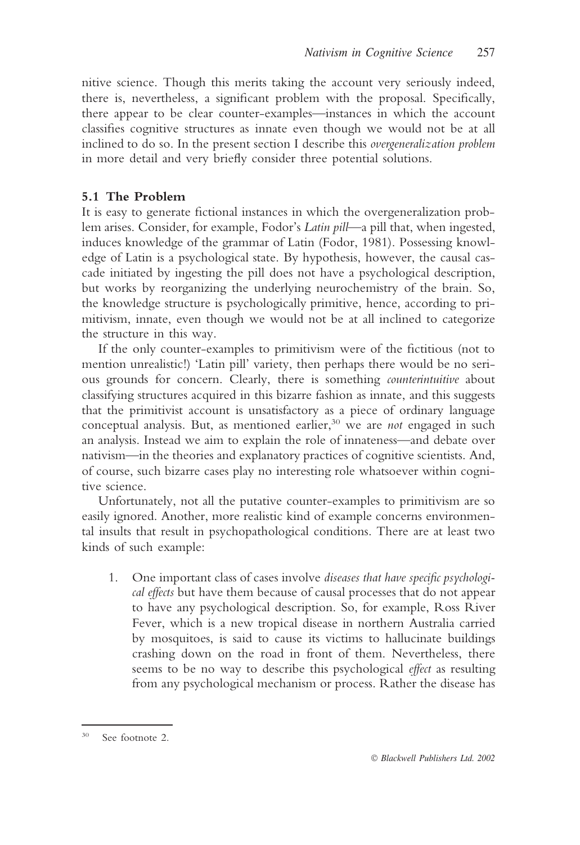nitive science. Though this merits taking the account very seriously indeed, there is, nevertheless, a significant problem with the proposal. Specifically, there appear to be clear counter-examples—instances in which the account classifies cognitive structures as innate even though we would not be at all inclined to do so. In the present section I describe this *overgeneralization problem* in more detail and very briefly consider three potential solutions.

### **5.1 The Problem**

It is easy to generate fictional instances in which the overgeneralization problem arises. Consider, for example, Fodor's *Latin pill*—a pill that, when ingested, induces knowledge of the grammar of Latin (Fodor, 1981). Possessing knowledge of Latin is a psychological state. By hypothesis, however, the causal cascade initiated by ingesting the pill does not have a psychological description, but works by reorganizing the underlying neurochemistry of the brain. So, the knowledge structure is psychologically primitive, hence, according to primitivism, innate, even though we would not be at all inclined to categorize the structure in this way.

If the only counter-examples to primitivism were of the fictitious (not to mention unrealistic!) 'Latin pill' variety, then perhaps there would be no serious grounds for concern. Clearly, there is something *counterintuitive* about classifying structures acquired in this bizarre fashion as innate, and this suggests that the primitivist account is unsatisfactory as a piece of ordinary language conceptual analysis. But, as mentioned earlier,<sup>30</sup> we are *not* engaged in such an analysis. Instead we aim to explain the role of innateness—and debate over nativism—in the theories and explanatory practices of cognitive scientists. And, of course, such bizarre cases play no interesting role whatsoever within cognitive science.

Unfortunately, not all the putative counter-examples to primitivism are so easily ignored. Another, more realistic kind of example concerns environmental insults that result in psychopathological conditions. There are at least two kinds of such example:

1. One important class of cases involve *diseases that have specific psychological effects* but have them because of causal processes that do not appear to have any psychological description. So, for example, Ross River Fever, which is a new tropical disease in northern Australia carried by mosquitoes, is said to cause its victims to hallucinate buildings crashing down on the road in front of them. Nevertheless, there seems to be no way to describe this psychological *effect* as resulting from any psychological mechanism or process. Rather the disease has

See footnote 2.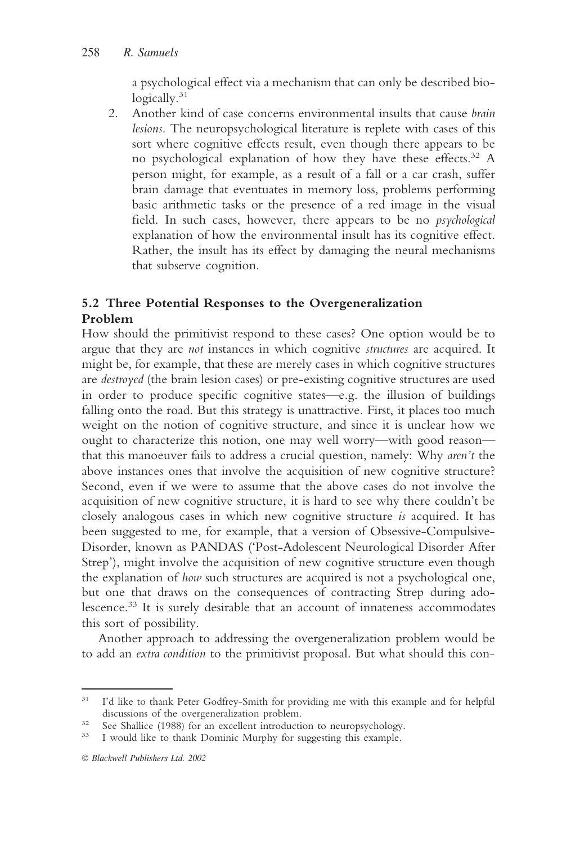a psychological effect via a mechanism that can only be described biologically.<sup>31</sup>

2. Another kind of case concerns environmental insults that cause *brain lesions*. The neuropsychological literature is replete with cases of this sort where cognitive effects result, even though there appears to be no psychological explanation of how they have these effects.<sup>32</sup> A person might, for example, as a result of a fall or a car crash, suffer brain damage that eventuates in memory loss, problems performing basic arithmetic tasks or the presence of a red image in the visual field. In such cases, however, there appears to be no *psychological* explanation of how the environmental insult has its cognitive effect. Rather, the insult has its effect by damaging the neural mechanisms that subserve cognition.

# **5.2 Three Potential Responses to the Overgeneralization Problem**

How should the primitivist respond to these cases? One option would be to argue that they are *not* instances in which cognitive *structures* are acquired. It might be, for example, that these are merely cases in which cognitive structures are *destroyed* (the brain lesion cases) or pre-existing cognitive structures are used in order to produce specific cognitive states—e.g. the illusion of buildings falling onto the road. But this strategy is unattractive. First, it places too much weight on the notion of cognitive structure, and since it is unclear how we ought to characterize this notion, one may well worry—with good reason that this manoeuver fails to address a crucial question, namely: Why *aren't* the above instances ones that involve the acquisition of new cognitive structure? Second, even if we were to assume that the above cases do not involve the acquisition of new cognitive structure, it is hard to see why there couldn't be closely analogous cases in which new cognitive structure *is* acquired. It has been suggested to me, for example, that a version of Obsessive-Compulsive-Disorder, known as PANDAS ('Post-Adolescent Neurological Disorder After Strep'), might involve the acquisition of new cognitive structure even though the explanation of *how* such structures are acquired is not a psychological one, but one that draws on the consequences of contracting Strep during adolescence.<sup>33</sup> It is surely desirable that an account of innateness accommodates this sort of possibility.

Another approach to addressing the overgeneralization problem would be to add an *extra condition* to the primitivist proposal. But what should this con-

<sup>&</sup>lt;sup>31</sup> I'd like to thank Peter Godfrey-Smith for providing me with this example and for helpful discussions of the overgeneralization problem.

 $32$  See Shallice (1988) for an excellent introduction to neuropsychology.

I would like to thank Dominic Murphy for suggesting this example.

*Blackwell Publishers Ltd. 2002*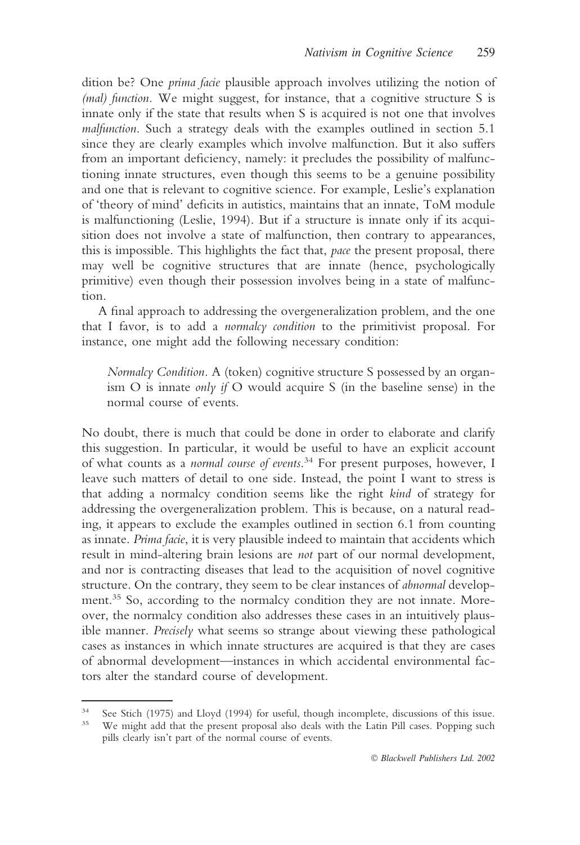dition be? One *prima facie* plausible approach involves utilizing the notion of *(mal) function.* We might suggest, for instance, that a cognitive structure S is innate only if the state that results when S is acquired is not one that involves *malfunction*. Such a strategy deals with the examples outlined in section 5.1 since they are clearly examples which involve malfunction. But it also suffers from an important deficiency, namely: it precludes the possibility of malfunctioning innate structures, even though this seems to be a genuine possibility and one that is relevant to cognitive science. For example, Leslie's explanation of 'theory of mind' deficits in autistics, maintains that an innate, ToM module is malfunctioning (Leslie, 1994). But if a structure is innate only if its acquisition does not involve a state of malfunction, then contrary to appearances, this is impossible. This highlights the fact that, *pace* the present proposal, there may well be cognitive structures that are innate (hence, psychologically primitive) even though their possession involves being in a state of malfunction.

A final approach to addressing the overgeneralization problem, and the one that I favor, is to add a *normalcy condition* to the primitivist proposal. For instance, one might add the following necessary condition:

*Normalcy Condition.* A (token) cognitive structure S possessed by an organism O is innate *only if* O would acquire S (in the baseline sense) in the normal course of events.

No doubt, there is much that could be done in order to elaborate and clarify this suggestion. In particular, it would be useful to have an explicit account of what counts as a *normal course of events*. <sup>34</sup> For present purposes, however, I leave such matters of detail to one side. Instead, the point I want to stress is that adding a normalcy condition seems like the right *kind* of strategy for addressing the overgeneralization problem. This is because, on a natural reading, it appears to exclude the examples outlined in section 6.1 from counting as innate. *Prima facie*, it is very plausible indeed to maintain that accidents which result in mind-altering brain lesions are *not* part of our normal development, and nor is contracting diseases that lead to the acquisition of novel cognitive structure. On the contrary, they seem to be clear instances of *abnormal* development.35 So, according to the normalcy condition they are not innate. Moreover, the normalcy condition also addresses these cases in an intuitively plausible manner. *Precisely* what seems so strange about viewing these pathological cases as instances in which innate structures are acquired is that they are cases of abnormal development—instances in which accidental environmental factors alter the standard course of development.

<sup>34</sup> See Stich (1975) and Lloyd (1994) for useful, though incomplete, discussions of this issue.

We might add that the present proposal also deals with the Latin Pill cases. Popping such pills clearly isn't part of the normal course of events.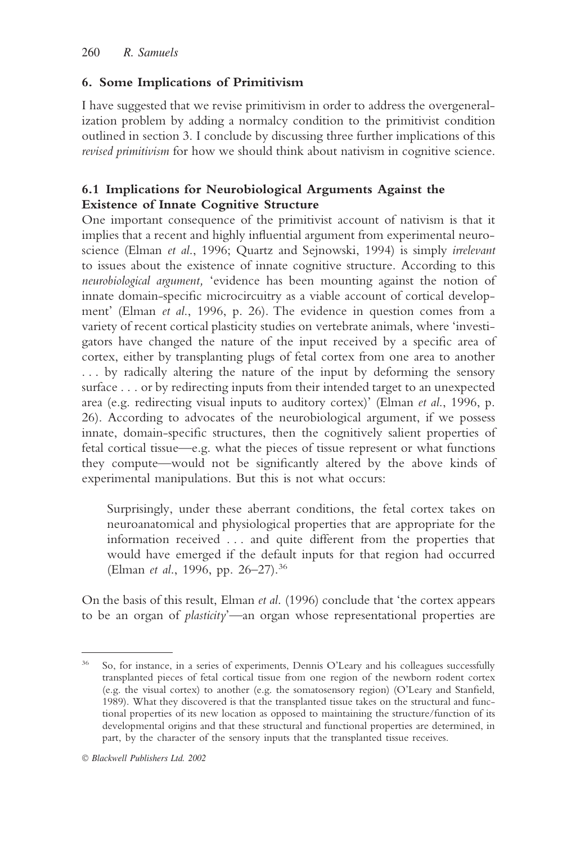# **6. Some Implications of Primitivism**

I have suggested that we revise primitivism in order to address the overgeneralization problem by adding a normalcy condition to the primitivist condition outlined in section 3. I conclude by discussing three further implications of this *revised primitivism* for how we should think about nativism in cognitive science.

# **6.1 Implications for Neurobiological Arguments Against the Existence of Innate Cognitive Structure**

One important consequence of the primitivist account of nativism is that it implies that a recent and highly influential argument from experimental neuroscience (Elman *et al*., 1996; Quartz and Sejnowski, 1994) is simply *irrelevant* to issues about the existence of innate cognitive structure. According to this *neurobiological argument,* 'evidence has been mounting against the notion of innate domain-specific microcircuitry as a viable account of cortical development' (Elman *et al*., 1996, p. 26). The evidence in question comes from a variety of recent cortical plasticity studies on vertebrate animals, where 'investigators have changed the nature of the input received by a specific area of cortex, either by transplanting plugs of fetal cortex from one area to another ... by radically altering the nature of the input by deforming the sensory surface . . . or by redirecting inputs from their intended target to an unexpected area (e.g. redirecting visual inputs to auditory cortex)' (Elman *et al*., 1996, p. 26). According to advocates of the neurobiological argument, if we possess innate, domain-specific structures, then the cognitively salient properties of fetal cortical tissue—e.g. what the pieces of tissue represent or what functions they compute—would not be significantly altered by the above kinds of experimental manipulations. But this is not what occurs:

Surprisingly, under these aberrant conditions, the fetal cortex takes on neuroanatomical and physiological properties that are appropriate for the information received . . . and quite different from the properties that would have emerged if the default inputs for that region had occurred (Elman *et al*., 1996, pp. 26–27).<sup>36</sup>

On the basis of this result, Elman *et al*. (1996) conclude that 'the cortex appears to be an organ of *plasticity*'—an organ whose representational properties are

<sup>36</sup> So, for instance, in a series of experiments, Dennis O'Leary and his colleagues successfully transplanted pieces of fetal cortical tissue from one region of the newborn rodent cortex (e.g. the visual cortex) to another (e.g. the somatosensory region) (O'Leary and Stanfield, 1989). What they discovered is that the transplanted tissue takes on the structural and functional properties of its new location as opposed to maintaining the structure/function of its developmental origins and that these structural and functional properties are determined, in part, by the character of the sensory inputs that the transplanted tissue receives.

*Blackwell Publishers Ltd. 2002*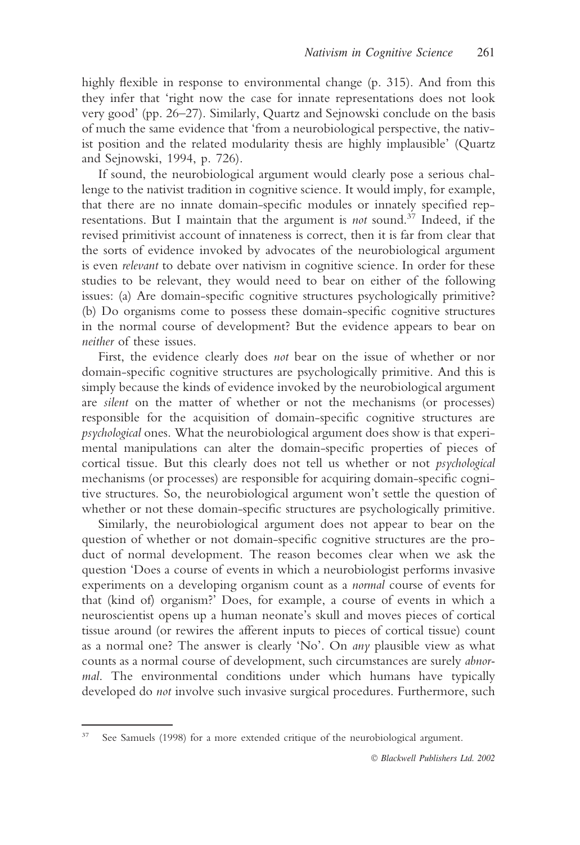highly flexible in response to environmental change (p. 315). And from this they infer that 'right now the case for innate representations does not look very good' (pp. 26–27). Similarly, Quartz and Sejnowski conclude on the basis of much the same evidence that 'from a neurobiological perspective, the nativist position and the related modularity thesis are highly implausible' (Quartz and Sejnowski, 1994, p. 726).

If sound, the neurobiological argument would clearly pose a serious challenge to the nativist tradition in cognitive science. It would imply, for example, that there are no innate domain-specific modules or innately specified representations. But I maintain that the argument is *not* sound.37 Indeed, if the revised primitivist account of innateness is correct, then it is far from clear that the sorts of evidence invoked by advocates of the neurobiological argument is even *relevant* to debate over nativism in cognitive science. In order for these studies to be relevant, they would need to bear on either of the following issues: (a) Are domain-specific cognitive structures psychologically primitive? (b) Do organisms come to possess these domain-specific cognitive structures in the normal course of development? But the evidence appears to bear on *neither* of these issues.

First, the evidence clearly does *not* bear on the issue of whether or nor domain-specific cognitive structures are psychologically primitive. And this is simply because the kinds of evidence invoked by the neurobiological argument are *silent* on the matter of whether or not the mechanisms (or processes) responsible for the acquisition of domain-specific cognitive structures are *psychological* ones. What the neurobiological argument does show is that experimental manipulations can alter the domain-specific properties of pieces of cortical tissue. But this clearly does not tell us whether or not *psychological* mechanisms (or processes) are responsible for acquiring domain-specific cognitive structures. So, the neurobiological argument won't settle the question of whether or not these domain-specific structures are psychologically primitive.

Similarly, the neurobiological argument does not appear to bear on the question of whether or not domain-specific cognitive structures are the product of normal development. The reason becomes clear when we ask the question 'Does a course of events in which a neurobiologist performs invasive experiments on a developing organism count as a *normal* course of events for that (kind of) organism?' Does, for example, a course of events in which a neuroscientist opens up a human neonate's skull and moves pieces of cortical tissue around (or rewires the afferent inputs to pieces of cortical tissue) count as a normal one? The answer is clearly 'No'. On *any* plausible view as what counts as a normal course of development, such circumstances are surely *abnormal*. The environmental conditions under which humans have typically developed do *not* involve such invasive surgical procedures. Furthermore, such

See Samuels (1998) for a more extended critique of the neurobiological argument.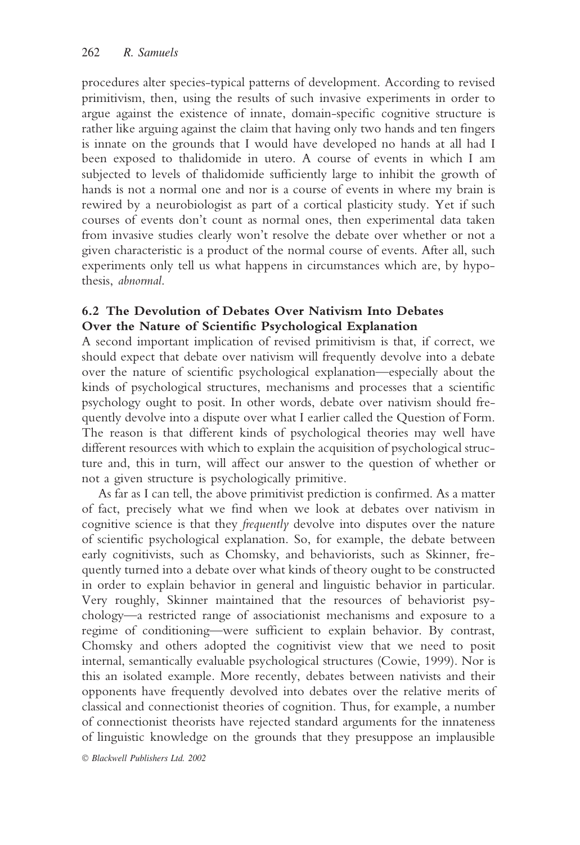procedures alter species-typical patterns of development. According to revised primitivism, then, using the results of such invasive experiments in order to argue against the existence of innate, domain-specific cognitive structure is rather like arguing against the claim that having only two hands and ten fingers is innate on the grounds that I would have developed no hands at all had I been exposed to thalidomide in utero. A course of events in which I am subjected to levels of thalidomide sufficiently large to inhibit the growth of hands is not a normal one and nor is a course of events in where my brain is rewired by a neurobiologist as part of a cortical plasticity study. Yet if such courses of events don't count as normal ones, then experimental data taken from invasive studies clearly won't resolve the debate over whether or not a given characteristic is a product of the normal course of events. After all, such experiments only tell us what happens in circumstances which are, by hypothesis, *abnormal*.

### **6.2 The Devolution of Debates Over Nativism Into Debates Over the Nature of Scientific Psychological Explanation**

A second important implication of revised primitivism is that, if correct, we should expect that debate over nativism will frequently devolve into a debate over the nature of scientific psychological explanation—especially about the kinds of psychological structures, mechanisms and processes that a scientific psychology ought to posit. In other words, debate over nativism should frequently devolve into a dispute over what I earlier called the Question of Form. The reason is that different kinds of psychological theories may well have different resources with which to explain the acquisition of psychological structure and, this in turn, will affect our answer to the question of whether or not a given structure is psychologically primitive.

As far as I can tell, the above primitivist prediction is confirmed. As a matter of fact, precisely what we find when we look at debates over nativism in cognitive science is that they *frequently* devolve into disputes over the nature of scientific psychological explanation. So, for example, the debate between early cognitivists, such as Chomsky, and behaviorists, such as Skinner, frequently turned into a debate over what kinds of theory ought to be constructed in order to explain behavior in general and linguistic behavior in particular. Very roughly, Skinner maintained that the resources of behaviorist psychology—a restricted range of associationist mechanisms and exposure to a regime of conditioning—were sufficient to explain behavior. By contrast, Chomsky and others adopted the cognitivist view that we need to posit internal, semantically evaluable psychological structures (Cowie, 1999). Nor is this an isolated example. More recently, debates between nativists and their opponents have frequently devolved into debates over the relative merits of classical and connectionist theories of cognition. Thus, for example, a number of connectionist theorists have rejected standard arguments for the innateness of linguistic knowledge on the grounds that they presuppose an implausible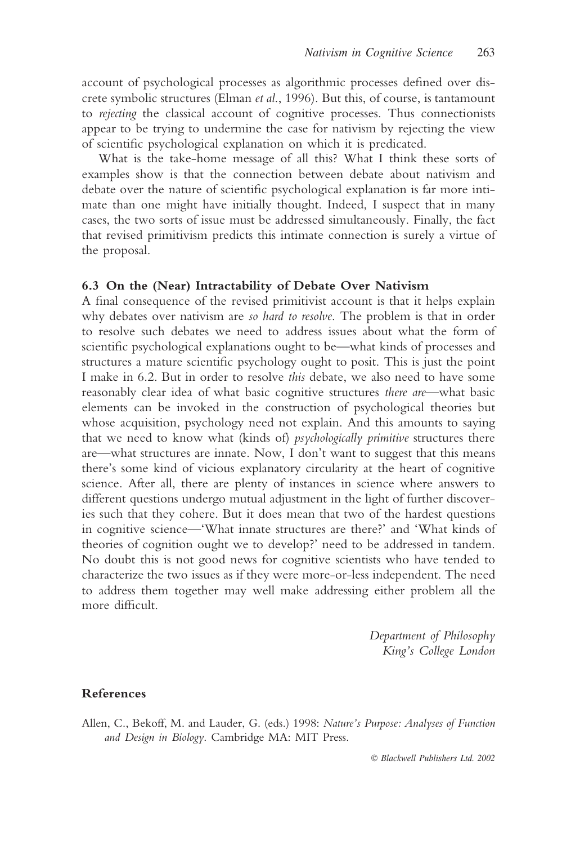account of psychological processes as algorithmic processes defined over discrete symbolic structures (Elman *et al*., 1996). But this, of course, is tantamount to *rejecting* the classical account of cognitive processes. Thus connectionists appear to be trying to undermine the case for nativism by rejecting the view of scientific psychological explanation on which it is predicated.

What is the take-home message of all this? What I think these sorts of examples show is that the connection between debate about nativism and debate over the nature of scientific psychological explanation is far more intimate than one might have initially thought. Indeed, I suspect that in many cases, the two sorts of issue must be addressed simultaneously. Finally, the fact that revised primitivism predicts this intimate connection is surely a virtue of the proposal.

#### **6.3 On the (Near) Intractability of Debate Over Nativism**

A final consequence of the revised primitivist account is that it helps explain why debates over nativism are *so hard to resolve*. The problem is that in order to resolve such debates we need to address issues about what the form of scientific psychological explanations ought to be—what kinds of processes and structures a mature scientific psychology ought to posit. This is just the point I make in 6.2. But in order to resolve *this* debate, we also need to have some reasonably clear idea of what basic cognitive structures *there are*—what basic elements can be invoked in the construction of psychological theories but whose acquisition, psychology need not explain. And this amounts to saying that we need to know what (kinds of) *psychologically primitive* structures there are—what structures are innate. Now, I don't want to suggest that this means there's some kind of vicious explanatory circularity at the heart of cognitive science. After all, there are plenty of instances in science where answers to different questions undergo mutual adjustment in the light of further discoveries such that they cohere. But it does mean that two of the hardest questions in cognitive science—'What innate structures are there?' and 'What kinds of theories of cognition ought we to develop?' need to be addressed in tandem. No doubt this is not good news for cognitive scientists who have tended to characterize the two issues as if they were more-or-less independent. The need to address them together may well make addressing either problem all the more difficult.

> *Department of Philosophy King's College London*

#### **References**

Allen, C., Bekoff, M. and Lauder, G. (eds.) 1998: *Nature's Purpose: Analyses of Function and Design in Biology*. Cambridge MA: MIT Press.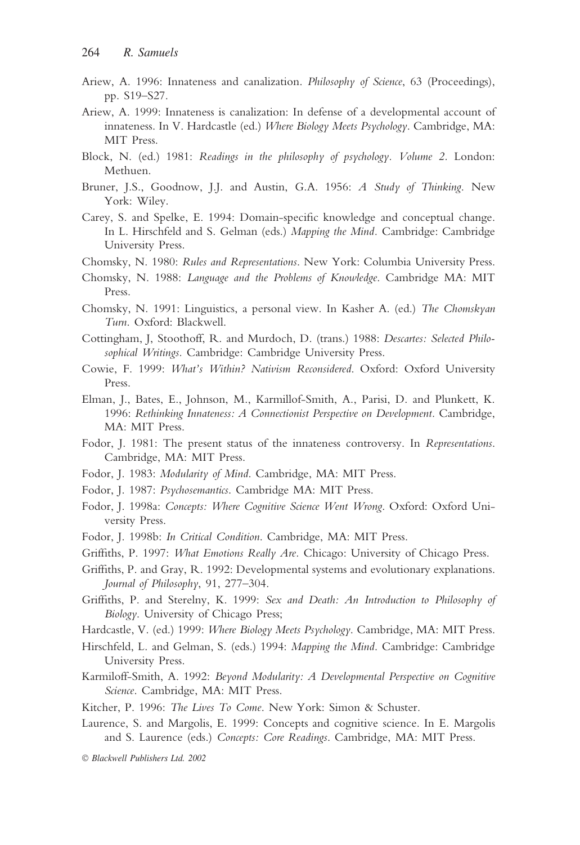- Ariew, A. 1996: Innateness and canalization. *Philosophy of Science*, 63 (Proceedings), pp. S19–S27.
- Ariew, A. 1999: Innateness is canalization: In defense of a developmental account of innateness. In V. Hardcastle (ed.) *Where Biology Meets Psychology*. Cambridge, MA: MIT Press.
- Block, N. (ed.) 1981: *Readings in the philosophy of psychology. Volume 2.* London: Methuen.
- Bruner, J.S., Goodnow, J.J. and Austin, G.A. 1956: *A Study of Thinking*. New York: Wiley.
- Carey, S. and Spelke, E. 1994: Domain-specific knowledge and conceptual change. In L. Hirschfeld and S. Gelman (eds.) *Mapping the Mind.* Cambridge: Cambridge University Press.
- Chomsky, N. 1980: *Rules and Representations*. New York: Columbia University Press.
- Chomsky, N. 1988: *Language and the Problems of Knowledge*. Cambridge MA: MIT Press.
- Chomsky, N. 1991: Linguistics, a personal view. In Kasher A. (ed.) *The Chomskyan Turn*. Oxford: Blackwell.
- Cottingham, J, Stoothoff, R. and Murdoch, D. (trans.) 1988: *Descartes: Selected Philosophical Writings.* Cambridge: Cambridge University Press.
- Cowie, F. 1999: *What's Within? Nativism Reconsidered*. Oxford: Oxford University Press.
- Elman, J., Bates, E., Johnson, M., Karmillof-Smith, A., Parisi, D. and Plunkett, K. 1996: *Rethinking Innateness: A Connectionist Perspective on Development.* Cambridge, MA: MIT Press.
- Fodor, J. 1981: The present status of the innateness controversy. In *Representations*. Cambridge, MA: MIT Press.
- Fodor, J. 1983: *Modularity of Mind*. Cambridge, MA: MIT Press.
- Fodor, J. 1987: *Psychosemantics*. Cambridge MA: MIT Press.
- Fodor, J. 1998a: *Concepts: Where Cognitive Science Went Wrong*. Oxford: Oxford University Press.
- Fodor, J. 1998b: *In Critical Condition*. Cambridge, MA: MIT Press.
- Griffiths, P. 1997: *What Emotions Really Are.* Chicago: University of Chicago Press.
- Griffiths, P. and Gray, R. 1992: Developmental systems and evolutionary explanations. *Journal of Philosophy*, 91, 277–304.
- Griffiths, P. and Sterelny, K. 1999: *Sex and Death: An Introduction to Philosophy of Biology*. University of Chicago Press;
- Hardcastle, V. (ed.) 1999: *Where Biology Meets Psychology*. Cambridge, MA: MIT Press.
- Hirschfeld, L. and Gelman, S. (eds.) 1994: *Mapping the Mind*. Cambridge: Cambridge University Press.
- Karmiloff-Smith, A. 1992: *Beyond Modularity: A Developmental Perspective on Cognitive Science*. Cambridge, MA: MIT Press.
- Kitcher, P. 1996: *The Lives To Come*. New York: Simon & Schuster.
- Laurence, S. and Margolis, E. 1999: Concepts and cognitive science. In E. Margolis and S. Laurence (eds.) *Concepts: Core Readings*. Cambridge, MA: MIT Press.